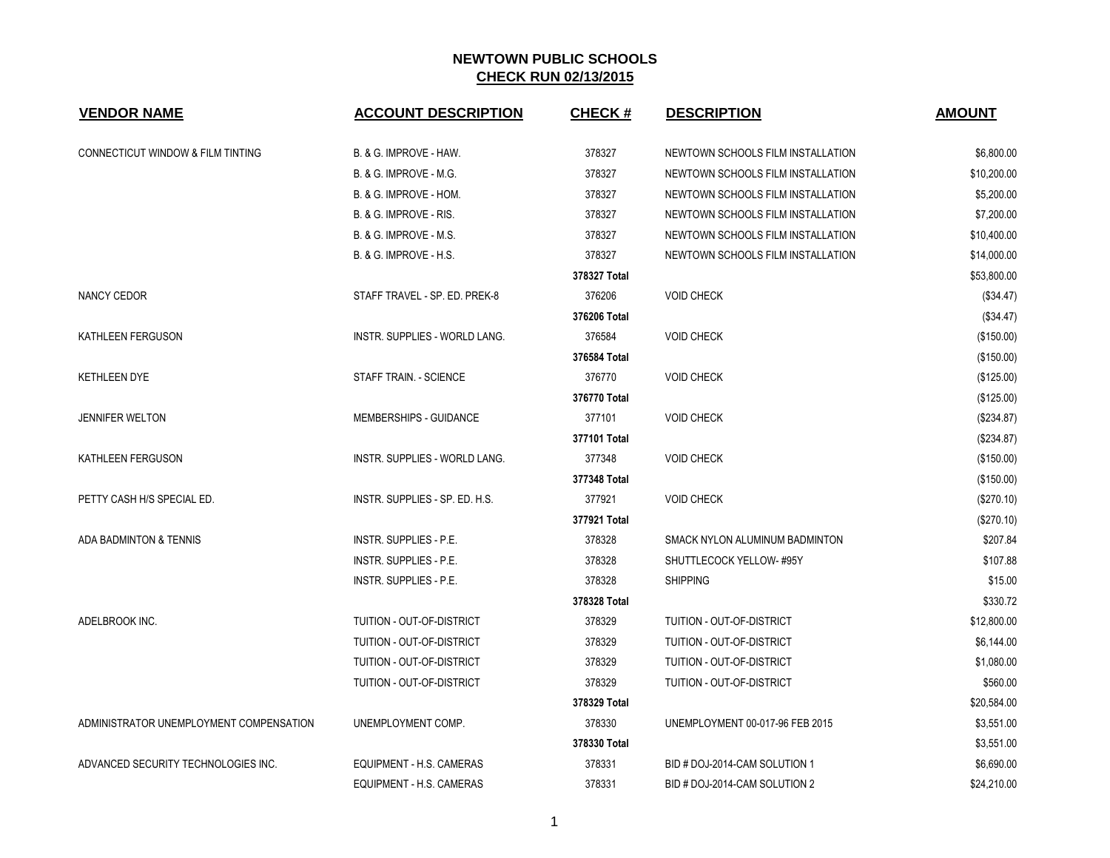| <b>VENDOR NAME</b>                           | <b>ACCOUNT DESCRIPTION</b>           | <b>CHECK#</b> | <b>DESCRIPTION</b>                | <b>AMOUNT</b> |
|----------------------------------------------|--------------------------------------|---------------|-----------------------------------|---------------|
| <b>CONNECTICUT WINDOW &amp; FILM TINTING</b> | B. & G. IMPROVE - HAW.               | 378327        | NEWTOWN SCHOOLS FILM INSTALLATION | \$6,800.00    |
|                                              | <b>B. &amp; G. IMPROVE - M.G.</b>    | 378327        | NEWTOWN SCHOOLS FILM INSTALLATION | \$10,200.00   |
|                                              | B. & G. IMPROVE - HOM.               | 378327        | NEWTOWN SCHOOLS FILM INSTALLATION | \$5,200.00    |
|                                              | B. & G. IMPROVE - RIS.               | 378327        | NEWTOWN SCHOOLS FILM INSTALLATION | \$7,200.00    |
|                                              | <b>B. &amp; G. IMPROVE - M.S.</b>    | 378327        | NEWTOWN SCHOOLS FILM INSTALLATION | \$10,400.00   |
|                                              | B. & G. IMPROVE - H.S.               | 378327        | NEWTOWN SCHOOLS FILM INSTALLATION | \$14,000.00   |
|                                              |                                      | 378327 Total  |                                   | \$53,800.00   |
| NANCY CEDOR                                  | STAFF TRAVEL - SP. ED. PREK-8        | 376206        | <b>VOID CHECK</b>                 | (\$34.47)     |
|                                              |                                      | 376206 Total  |                                   | (\$34.47)     |
| KATHLEEN FERGUSON                            | INSTR. SUPPLIES - WORLD LANG.        | 376584        | <b>VOID CHECK</b>                 | (\$150.00)    |
|                                              |                                      | 376584 Total  |                                   | (\$150.00)    |
| <b>KETHLEEN DYE</b>                          | STAFF TRAIN. - SCIENCE               | 376770        | <b>VOID CHECK</b>                 | (\$125.00)    |
|                                              |                                      | 376770 Total  |                                   | (\$125.00)    |
| <b>JENNIFER WELTON</b>                       | MEMBERSHIPS - GUIDANCE               | 377101        | <b>VOID CHECK</b>                 | (\$234.87)    |
|                                              |                                      | 377101 Total  |                                   | (\$234.87)    |
| KATHLEEN FERGUSON                            | <b>INSTR. SUPPLIES - WORLD LANG.</b> | 377348        | <b>VOID CHECK</b>                 | (\$150.00)    |
|                                              |                                      | 377348 Total  |                                   | (\$150.00)    |
| PETTY CASH H/S SPECIAL ED.                   | INSTR. SUPPLIES - SP. ED. H.S.       | 377921        | <b>VOID CHECK</b>                 | (\$270.10)    |
|                                              |                                      | 377921 Total  |                                   | (\$270.10)    |
| ADA BADMINTON & TENNIS                       | INSTR. SUPPLIES - P.E.               | 378328        | SMACK NYLON ALUMINUM BADMINTON    | \$207.84      |
|                                              | INSTR. SUPPLIES - P.E.               | 378328        | SHUTTLECOCK YELLOW-#95Y           | \$107.88      |
|                                              | <b>INSTR. SUPPLIES - P.E.</b>        | 378328        | <b>SHIPPING</b>                   | \$15.00       |
|                                              |                                      | 378328 Total  |                                   | \$330.72      |
| ADELBROOK INC.                               | TUITION - OUT-OF-DISTRICT            | 378329        | TUITION - OUT-OF-DISTRICT         | \$12,800.00   |
|                                              | TUITION - OUT-OF-DISTRICT            | 378329        | TUITION - OUT-OF-DISTRICT         | \$6,144.00    |
|                                              | TUITION - OUT-OF-DISTRICT            | 378329        | TUITION - OUT-OF-DISTRICT         | \$1,080.00    |
|                                              | TUITION - OUT-OF-DISTRICT            | 378329        | TUITION - OUT-OF-DISTRICT         | \$560.00      |
|                                              |                                      | 378329 Total  |                                   | \$20,584.00   |
| ADMINISTRATOR UNEMPLOYMENT COMPENSATION      | UNEMPLOYMENT COMP.                   | 378330        | UNEMPLOYMENT 00-017-96 FEB 2015   | \$3,551.00    |
|                                              |                                      | 378330 Total  |                                   | \$3,551.00    |
| ADVANCED SECURITY TECHNOLOGIES INC.          | EQUIPMENT - H.S. CAMERAS             | 378331        | BID # DOJ-2014-CAM SOLUTION 1     | \$6,690.00    |
|                                              | EQUIPMENT - H.S. CAMERAS             | 378331        | BID # DOJ-2014-CAM SOLUTION 2     | \$24,210.00   |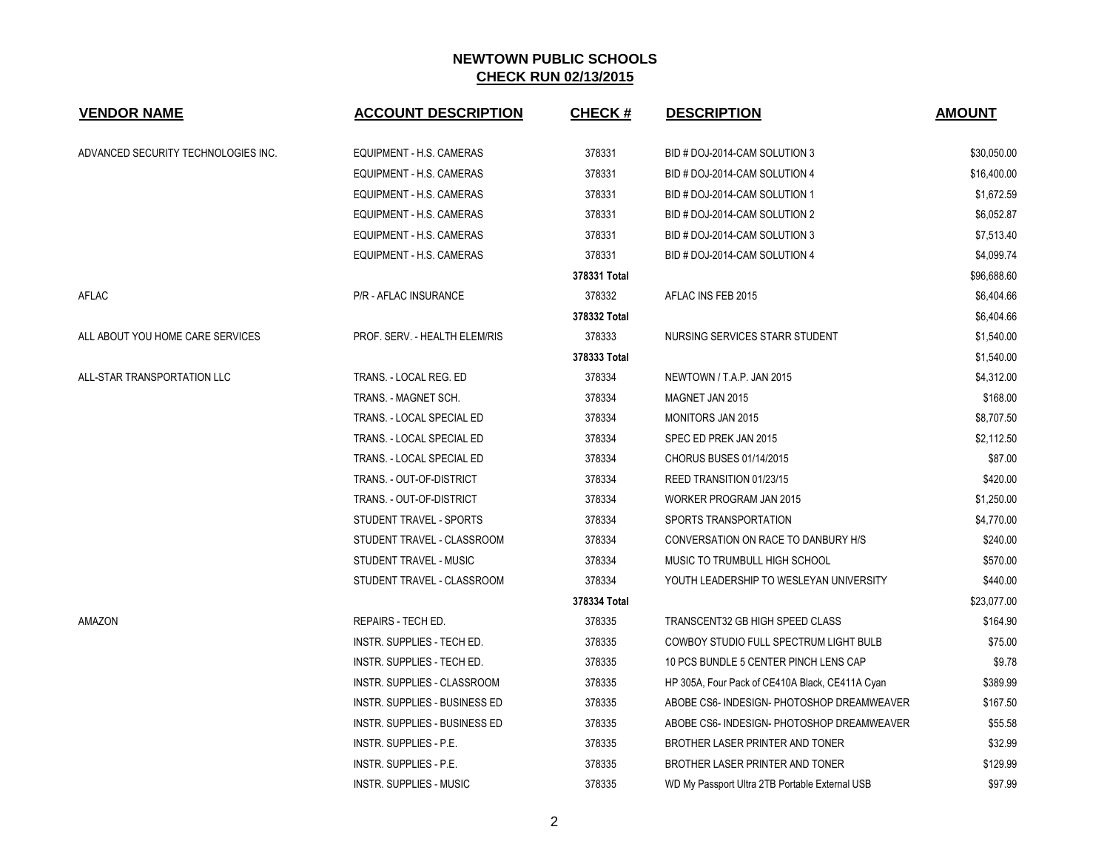| <b>VENDOR NAME</b>                  | <b>ACCOUNT DESCRIPTION</b>           | <b>CHECK#</b> | <b>DESCRIPTION</b>                              | <b>AMOUNT</b> |
|-------------------------------------|--------------------------------------|---------------|-------------------------------------------------|---------------|
| ADVANCED SECURITY TECHNOLOGIES INC. | EQUIPMENT - H.S. CAMERAS             | 378331        | BID # DOJ-2014-CAM SOLUTION 3                   | \$30,050.00   |
|                                     | EQUIPMENT - H.S. CAMERAS             | 378331        | BID # DOJ-2014-CAM SOLUTION 4                   | \$16,400.00   |
|                                     | EQUIPMENT - H.S. CAMERAS             | 378331        | BID # DOJ-2014-CAM SOLUTION 1                   | \$1,672.59    |
|                                     | EQUIPMENT - H.S. CAMERAS             | 378331        | BID # DOJ-2014-CAM SOLUTION 2                   | \$6,052.87    |
|                                     | EQUIPMENT - H.S. CAMERAS             | 378331        | BID # DOJ-2014-CAM SOLUTION 3                   | \$7,513.40    |
|                                     | EQUIPMENT - H.S. CAMERAS             | 378331        | BID # DOJ-2014-CAM SOLUTION 4                   | \$4,099.74    |
|                                     |                                      | 378331 Total  |                                                 | \$96,688.60   |
| AFLAC                               | P/R - AFLAC INSURANCE                | 378332        | AFLAC INS FEB 2015                              | \$6,404.66    |
|                                     |                                      | 378332 Total  |                                                 | \$6,404.66    |
| ALL ABOUT YOU HOME CARE SERVICES    | PROF. SERV. - HEALTH ELEM/RIS        | 378333        | NURSING SERVICES STARR STUDENT                  | \$1,540.00    |
|                                     |                                      | 378333 Total  |                                                 | \$1,540.00    |
| ALL-STAR TRANSPORTATION LLC         | TRANS. - LOCAL REG. ED               | 378334        | NEWTOWN / T.A.P. JAN 2015                       | \$4,312.00    |
|                                     | TRANS. - MAGNET SCH.                 | 378334        | MAGNET JAN 2015                                 | \$168.00      |
|                                     | TRANS. - LOCAL SPECIAL ED            | 378334        | <b>MONITORS JAN 2015</b>                        | \$8,707.50    |
|                                     | TRANS. - LOCAL SPECIAL ED            | 378334        | SPEC ED PREK JAN 2015                           | \$2,112.50    |
|                                     | TRANS. - LOCAL SPECIAL ED            | 378334        | CHORUS BUSES 01/14/2015                         | \$87.00       |
|                                     | TRANS. - OUT-OF-DISTRICT             | 378334        | REED TRANSITION 01/23/15                        | \$420.00      |
|                                     | TRANS. - OUT-OF-DISTRICT             | 378334        | WORKER PROGRAM JAN 2015                         | \$1,250.00    |
|                                     | STUDENT TRAVEL - SPORTS              | 378334        | SPORTS TRANSPORTATION                           | \$4,770.00    |
|                                     | STUDENT TRAVEL - CLASSROOM           | 378334        | CONVERSATION ON RACE TO DANBURY H/S             | \$240.00      |
|                                     | STUDENT TRAVEL - MUSIC               | 378334        | MUSIC TO TRUMBULL HIGH SCHOOL                   | \$570.00      |
|                                     | STUDENT TRAVEL - CLASSROOM           | 378334        | YOUTH LEADERSHIP TO WESLEYAN UNIVERSITY         | \$440.00      |
|                                     |                                      | 378334 Total  |                                                 | \$23,077.00   |
| AMAZON                              | REPAIRS - TECH ED.                   | 378335        | TRANSCENT32 GB HIGH SPEED CLASS                 | \$164.90      |
|                                     | INSTR. SUPPLIES - TECH ED.           | 378335        | <b>COWBOY STUDIO FULL SPECTRUM LIGHT BULB</b>   | \$75.00       |
|                                     | INSTR. SUPPLIES - TECH ED.           | 378335        | 10 PCS BUNDLE 5 CENTER PINCH LENS CAP           | \$9.78        |
|                                     | INSTR. SUPPLIES - CLASSROOM          | 378335        | HP 305A, Four Pack of CE410A Black, CE411A Cyan | \$389.99      |
|                                     | <b>INSTR. SUPPLIES - BUSINESS ED</b> | 378335        | ABOBE CS6- INDESIGN- PHOTOSHOP DREAMWEAVER      | \$167.50      |
|                                     | INSTR. SUPPLIES - BUSINESS ED        | 378335        | ABOBE CS6- INDESIGN- PHOTOSHOP DREAMWEAVER      | \$55.58       |
|                                     | INSTR. SUPPLIES - P.E.               | 378335        | BROTHER LASER PRINTER AND TONER                 | \$32.99       |
|                                     | <b>INSTR. SUPPLIES - P.E.</b>        | 378335        | BROTHER LASER PRINTER AND TONER                 | \$129.99      |
|                                     | <b>INSTR. SUPPLIES - MUSIC</b>       | 378335        | WD My Passport Ultra 2TB Portable External USB  | \$97.99       |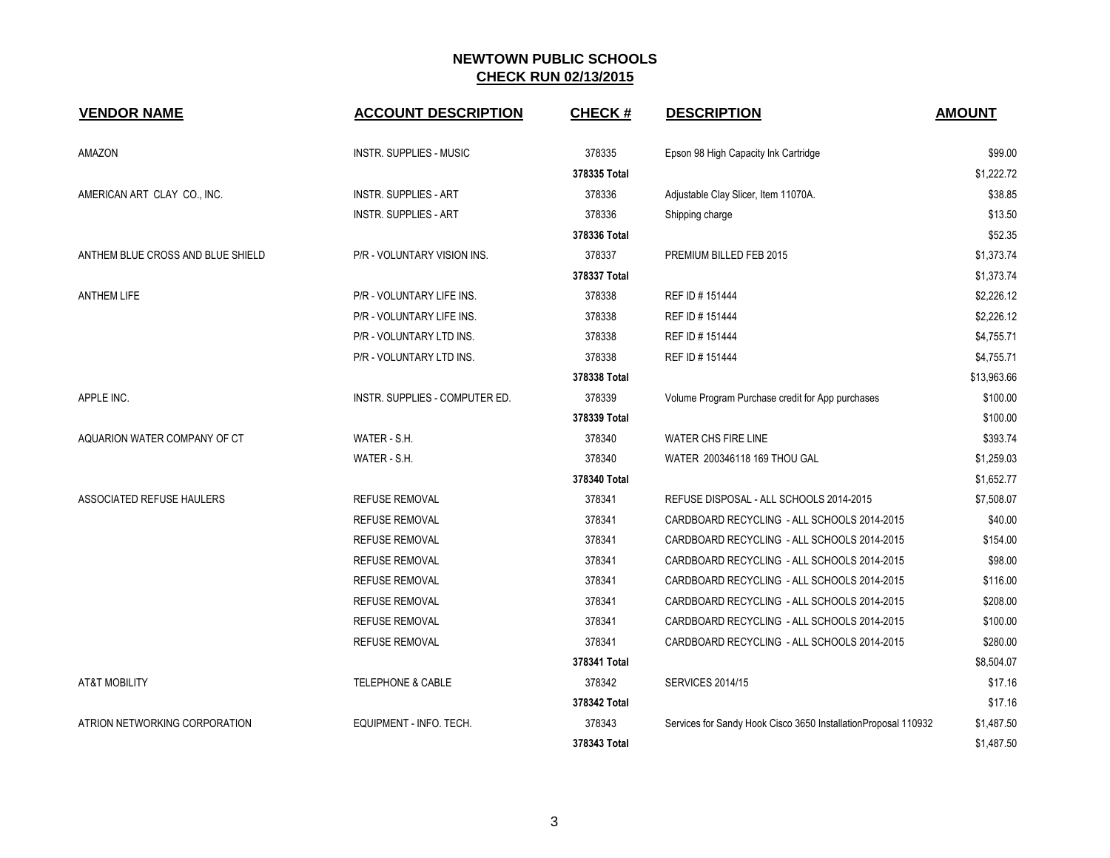| <b>VENDOR NAME</b>                | <b>ACCOUNT DESCRIPTION</b>     | <b>CHECK#</b> | <b>DESCRIPTION</b>                                              | <b>AMOUNT</b> |
|-----------------------------------|--------------------------------|---------------|-----------------------------------------------------------------|---------------|
| AMAZON                            | INSTR. SUPPLIES - MUSIC        | 378335        | Epson 98 High Capacity Ink Cartridge                            | \$99.00       |
|                                   |                                | 378335 Total  |                                                                 | \$1,222.72    |
| AMERICAN ART CLAY CO., INC.       | <b>INSTR. SUPPLIES - ART</b>   | 378336        | Adjustable Clay Slicer, Item 11070A.                            | \$38.85       |
|                                   | <b>INSTR. SUPPLIES - ART</b>   | 378336        | Shipping charge                                                 | \$13.50       |
|                                   |                                | 378336 Total  |                                                                 | \$52.35       |
| ANTHEM BLUE CROSS AND BLUE SHIELD | P/R - VOLUNTARY VISION INS.    | 378337        | PREMIUM BILLED FEB 2015                                         | \$1,373.74    |
|                                   |                                | 378337 Total  |                                                                 | \$1,373.74    |
| <b>ANTHEM LIFE</b>                | P/R - VOLUNTARY LIFE INS.      | 378338        | REF ID # 151444                                                 | \$2,226.12    |
|                                   | P/R - VOLUNTARY LIFE INS.      | 378338        | REF ID # 151444                                                 | \$2,226.12    |
|                                   | P/R - VOLUNTARY LTD INS.       | 378338        | REF ID # 151444                                                 | \$4,755.71    |
|                                   | P/R - VOLUNTARY LTD INS.       | 378338        | REF ID # 151444                                                 | \$4,755.71    |
|                                   |                                | 378338 Total  |                                                                 | \$13,963.66   |
| APPLE INC.                        | INSTR. SUPPLIES - COMPUTER ED. | 378339        | Volume Program Purchase credit for App purchases                | \$100.00      |
|                                   |                                | 378339 Total  |                                                                 | \$100.00      |
| AQUARION WATER COMPANY OF CT      | WATER - S.H.                   | 378340        | WATER CHS FIRE LINE                                             | \$393.74      |
|                                   | WATER - S.H.                   | 378340        | WATER 200346118 169 THOU GAL                                    | \$1,259.03    |
|                                   |                                | 378340 Total  |                                                                 | \$1,652.77    |
| ASSOCIATED REFUSE HAULERS         | <b>REFUSE REMOVAL</b>          | 378341        | REFUSE DISPOSAL - ALL SCHOOLS 2014-2015                         | \$7,508.07    |
|                                   | <b>REFUSE REMOVAL</b>          | 378341        | CARDBOARD RECYCLING - ALL SCHOOLS 2014-2015                     | \$40.00       |
|                                   | <b>REFUSE REMOVAL</b>          | 378341        | CARDBOARD RECYCLING - ALL SCHOOLS 2014-2015                     | \$154.00      |
|                                   | <b>REFUSE REMOVAL</b>          | 378341        | CARDBOARD RECYCLING - ALL SCHOOLS 2014-2015                     | \$98.00       |
|                                   | <b>REFUSE REMOVAL</b>          | 378341        | CARDBOARD RECYCLING - ALL SCHOOLS 2014-2015                     | \$116.00      |
|                                   | <b>REFUSE REMOVAL</b>          | 378341        | CARDBOARD RECYCLING - ALL SCHOOLS 2014-2015                     | \$208.00      |
|                                   | <b>REFUSE REMOVAL</b>          | 378341        | CARDBOARD RECYCLING - ALL SCHOOLS 2014-2015                     | \$100.00      |
|                                   | <b>REFUSE REMOVAL</b>          | 378341        | CARDBOARD RECYCLING - ALL SCHOOLS 2014-2015                     | \$280.00      |
|                                   |                                | 378341 Total  |                                                                 | \$8,504.07    |
| <b>AT&amp;T MOBILITY</b>          | <b>TELEPHONE &amp; CABLE</b>   | 378342        | <b>SERVICES 2014/15</b>                                         | \$17.16       |
|                                   |                                | 378342 Total  |                                                                 | \$17.16       |
| ATRION NETWORKING CORPORATION     | EQUIPMENT - INFO. TECH.        | 378343        | Services for Sandy Hook Cisco 3650 Installation Proposal 110932 | \$1,487.50    |
|                                   |                                | 378343 Total  |                                                                 | \$1,487.50    |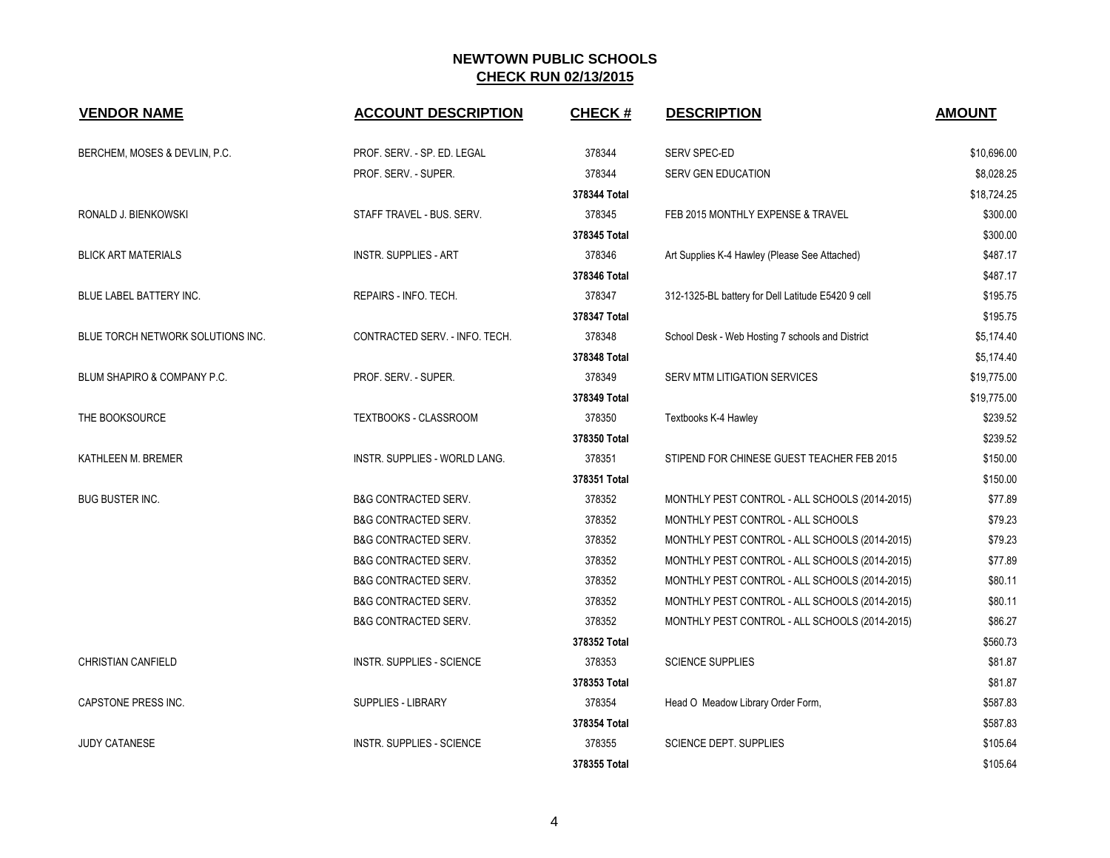| <b>VENDOR NAME</b>                | <b>ACCOUNT DESCRIPTION</b>           | <b>CHECK#</b> | <b>DESCRIPTION</b>                                 | <b>AMOUNT</b> |
|-----------------------------------|--------------------------------------|---------------|----------------------------------------------------|---------------|
| BERCHEM, MOSES & DEVLIN, P.C.     | PROF. SERV. - SP. ED. LEGAL          | 378344        | SERV SPEC-ED                                       | \$10,696.00   |
|                                   | PROF. SERV. - SUPER.                 | 378344        | SERV GEN EDUCATION                                 | \$8,028.25    |
|                                   |                                      | 378344 Total  |                                                    | \$18,724.25   |
| RONALD J. BIENKOWSKI              | STAFF TRAVEL - BUS. SERV.            | 378345        | FEB 2015 MONTHLY EXPENSE & TRAVEL                  | \$300.00      |
|                                   |                                      | 378345 Total  |                                                    | \$300.00      |
| <b>BLICK ART MATERIALS</b>        | <b>INSTR. SUPPLIES - ART</b>         | 378346        | Art Supplies K-4 Hawley (Please See Attached)      | \$487.17      |
|                                   |                                      | 378346 Total  |                                                    | \$487.17      |
| BLUE LABEL BATTERY INC.           | REPAIRS - INFO. TECH.                | 378347        | 312-1325-BL battery for Dell Latitude E5420 9 cell | \$195.75      |
|                                   |                                      | 378347 Total  |                                                    | \$195.75      |
| BLUE TORCH NETWORK SOLUTIONS INC. | CONTRACTED SERV. - INFO. TECH.       | 378348        | School Desk - Web Hosting 7 schools and District   | \$5,174.40    |
|                                   |                                      | 378348 Total  |                                                    | \$5,174.40    |
| BLUM SHAPIRO & COMPANY P.C.       | PROF. SERV. - SUPER.                 | 378349        | SERV MTM LITIGATION SERVICES                       | \$19,775.00   |
|                                   |                                      | 378349 Total  |                                                    | \$19,775.00   |
| THE BOOKSOURCE                    | TEXTBOOKS - CLASSROOM                | 378350        | Textbooks K-4 Hawley                               | \$239.52      |
|                                   |                                      | 378350 Total  |                                                    | \$239.52      |
| KATHLEEN M. BREMER                | <b>INSTR. SUPPLIES - WORLD LANG.</b> | 378351        | STIPEND FOR CHINESE GUEST TEACHER FEB 2015         | \$150.00      |
|                                   |                                      | 378351 Total  |                                                    | \$150.00      |
| <b>BUG BUSTER INC.</b>            | <b>B&amp;G CONTRACTED SERV.</b>      | 378352        | MONTHLY PEST CONTROL - ALL SCHOOLS (2014-2015)     | \$77.89       |
|                                   | <b>B&amp;G CONTRACTED SERV.</b>      | 378352        | MONTHLY PEST CONTROL - ALL SCHOOLS                 | \$79.23       |
|                                   | <b>B&amp;G CONTRACTED SERV.</b>      | 378352        | MONTHLY PEST CONTROL - ALL SCHOOLS (2014-2015)     | \$79.23       |
|                                   | <b>B&amp;G CONTRACTED SERV.</b>      | 378352        | MONTHLY PEST CONTROL - ALL SCHOOLS (2014-2015)     | \$77.89       |
|                                   | <b>B&amp;G CONTRACTED SERV.</b>      | 378352        | MONTHLY PEST CONTROL - ALL SCHOOLS (2014-2015)     | \$80.11       |
|                                   | <b>B&amp;G CONTRACTED SERV.</b>      | 378352        | MONTHLY PEST CONTROL - ALL SCHOOLS (2014-2015)     | \$80.11       |
|                                   | <b>B&amp;G CONTRACTED SERV.</b>      | 378352        | MONTHLY PEST CONTROL - ALL SCHOOLS (2014-2015)     | \$86.27       |
|                                   |                                      | 378352 Total  |                                                    | \$560.73      |
| <b>CHRISTIAN CANFIELD</b>         | <b>INSTR. SUPPLIES - SCIENCE</b>     | 378353        | <b>SCIENCE SUPPLIES</b>                            | \$81.87       |
|                                   |                                      | 378353 Total  |                                                    | \$81.87       |
| CAPSTONE PRESS INC.               | SUPPLIES - LIBRARY                   | 378354        | Head O Meadow Library Order Form,                  | \$587.83      |
|                                   |                                      | 378354 Total  |                                                    | \$587.83      |
| <b>JUDY CATANESE</b>              | <b>INSTR. SUPPLIES - SCIENCE</b>     | 378355        | <b>SCIENCE DEPT. SUPPLIES</b>                      | \$105.64      |
|                                   |                                      | 378355 Total  |                                                    | \$105.64      |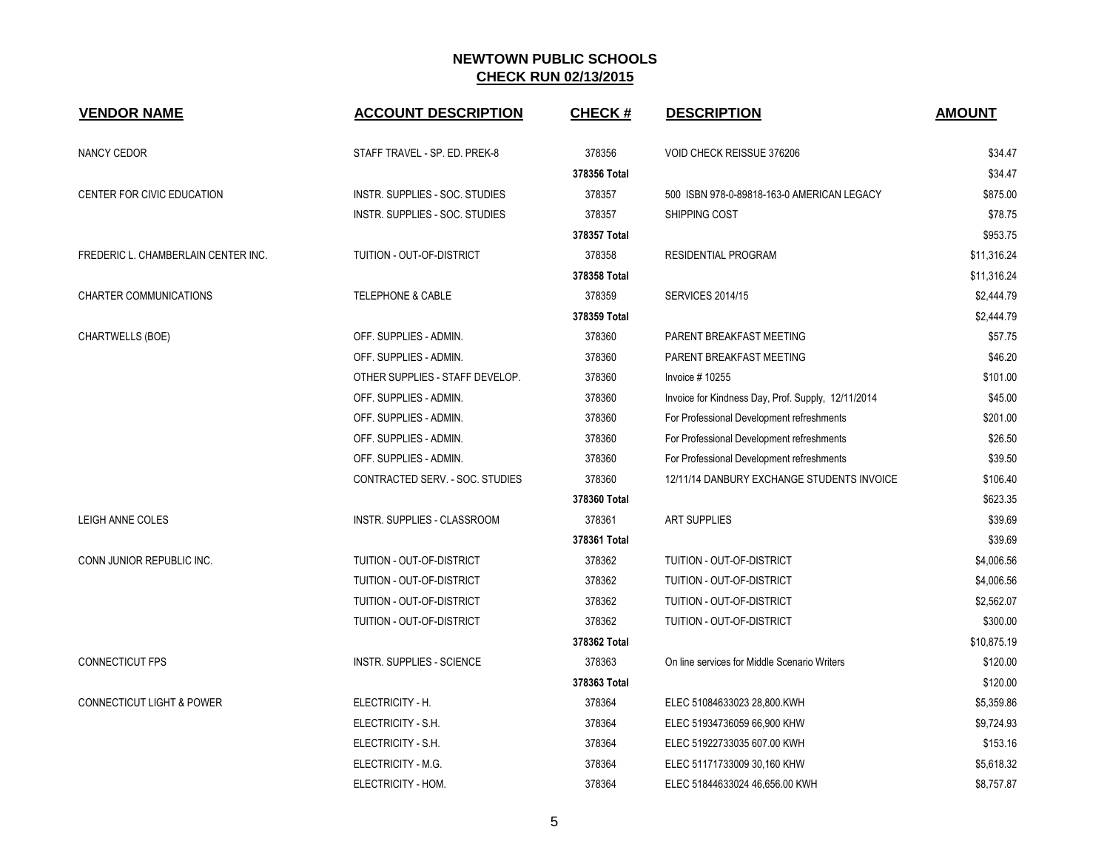| <b>VENDOR NAME</b>                   | <b>ACCOUNT DESCRIPTION</b>       | <b>CHECK#</b> | <b>DESCRIPTION</b>                                 | <b>AMOUNT</b> |
|--------------------------------------|----------------------------------|---------------|----------------------------------------------------|---------------|
| NANCY CEDOR                          | STAFF TRAVEL - SP. ED. PREK-8    | 378356        | VOID CHECK REISSUE 376206                          | \$34.47       |
|                                      |                                  | 378356 Total  |                                                    | \$34.47       |
| <b>CENTER FOR CIVIC EDUCATION</b>    | INSTR. SUPPLIES - SOC. STUDIES   | 378357        | 500 ISBN 978-0-89818-163-0 AMERICAN LEGACY         | \$875.00      |
|                                      | INSTR. SUPPLIES - SOC. STUDIES   | 378357        | SHIPPING COST                                      | \$78.75       |
|                                      |                                  | 378357 Total  |                                                    | \$953.75      |
| FREDERIC L. CHAMBERLAIN CENTER INC.  | TUITION - OUT-OF-DISTRICT        | 378358        | <b>RESIDENTIAL PROGRAM</b>                         | \$11,316.24   |
|                                      |                                  | 378358 Total  |                                                    | \$11,316.24   |
| CHARTER COMMUNICATIONS               | <b>TELEPHONE &amp; CABLE</b>     | 378359        | <b>SERVICES 2014/15</b>                            | \$2,444.79    |
|                                      |                                  | 378359 Total  |                                                    | \$2,444.79    |
| CHARTWELLS (BOE)                     | OFF. SUPPLIES - ADMIN.           | 378360        | PARENT BREAKFAST MEETING                           | \$57.75       |
|                                      | OFF. SUPPLIES - ADMIN.           | 378360        | PARENT BREAKFAST MEETING                           | \$46.20       |
|                                      | OTHER SUPPLIES - STAFF DEVELOP.  | 378360        | Invoice #10255                                     | \$101.00      |
|                                      | OFF. SUPPLIES - ADMIN.           | 378360        | Invoice for Kindness Day, Prof. Supply, 12/11/2014 | \$45.00       |
|                                      | OFF. SUPPLIES - ADMIN.           | 378360        | For Professional Development refreshments          | \$201.00      |
|                                      | OFF. SUPPLIES - ADMIN.           | 378360        | For Professional Development refreshments          | \$26.50       |
|                                      | OFF. SUPPLIES - ADMIN.           | 378360        | For Professional Development refreshments          | \$39.50       |
|                                      | CONTRACTED SERV. - SOC. STUDIES  | 378360        | 12/11/14 DANBURY EXCHANGE STUDENTS INVOICE         | \$106.40      |
|                                      |                                  | 378360 Total  |                                                    | \$623.35      |
| LEIGH ANNE COLES                     | INSTR. SUPPLIES - CLASSROOM      | 378361        | <b>ART SUPPLIES</b>                                | \$39.69       |
|                                      |                                  | 378361 Total  |                                                    | \$39.69       |
| CONN JUNIOR REPUBLIC INC.            | TUITION - OUT-OF-DISTRICT        | 378362        | TUITION - OUT-OF-DISTRICT                          | \$4,006.56    |
|                                      | TUITION - OUT-OF-DISTRICT        | 378362        | TUITION - OUT-OF-DISTRICT                          | \$4,006.56    |
|                                      | TUITION - OUT-OF-DISTRICT        | 378362        | TUITION - OUT-OF-DISTRICT                          | \$2,562.07    |
|                                      | TUITION - OUT-OF-DISTRICT        | 378362        | TUITION - OUT-OF-DISTRICT                          | \$300.00      |
|                                      |                                  | 378362 Total  |                                                    | \$10,875.19   |
| <b>CONNECTICUT FPS</b>               | <b>INSTR. SUPPLIES - SCIENCE</b> | 378363        | On line services for Middle Scenario Writers       | \$120.00      |
|                                      |                                  | 378363 Total  |                                                    | \$120.00      |
| <b>CONNECTICUT LIGHT &amp; POWER</b> | ELECTRICITY - H.                 | 378364        | ELEC 51084633023 28,800.KWH                        | \$5,359.86    |
|                                      | ELECTRICITY - S.H.               | 378364        | ELEC 51934736059 66,900 KHW                        | \$9,724.93    |
|                                      | ELECTRICITY - S.H.               | 378364        | ELEC 51922733035 607.00 KWH                        | \$153.16      |
|                                      | ELECTRICITY - M.G.               | 378364        | ELEC 51171733009 30,160 KHW                        | \$5,618.32    |
|                                      | ELECTRICITY - HOM.               | 378364        | ELEC 51844633024 46,656.00 KWH                     | \$8,757.87    |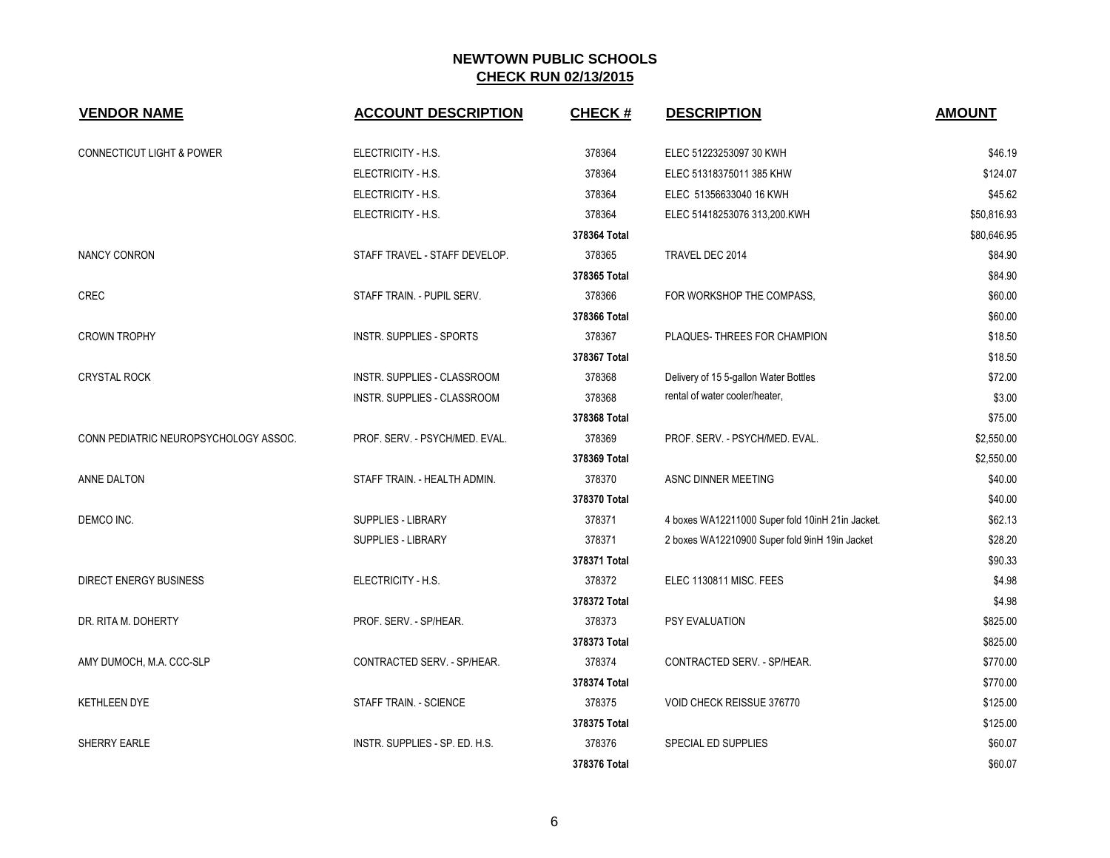| <b>VENDOR NAME</b>                    | <b>ACCOUNT DESCRIPTION</b>      | <b>CHECK#</b> | <b>DESCRIPTION</b>                               | <b>AMOUNT</b> |
|---------------------------------------|---------------------------------|---------------|--------------------------------------------------|---------------|
| <b>CONNECTICUT LIGHT &amp; POWER</b>  | ELECTRICITY - H.S.              | 378364        | ELEC 51223253097 30 KWH                          | \$46.19       |
|                                       | ELECTRICITY - H.S.              | 378364        | ELEC 51318375011 385 KHW                         | \$124.07      |
|                                       | ELECTRICITY - H.S.              | 378364        | ELEC 51356633040 16 KWH                          | \$45.62       |
|                                       | ELECTRICITY - H.S.              | 378364        | ELEC 51418253076 313,200.KWH                     | \$50,816.93   |
|                                       |                                 | 378364 Total  |                                                  | \$80,646.95   |
| <b>NANCY CONRON</b>                   | STAFF TRAVEL - STAFF DEVELOP.   | 378365        | TRAVEL DEC 2014                                  | \$84.90       |
|                                       |                                 | 378365 Total  |                                                  | \$84.90       |
| CREC                                  | STAFF TRAIN - PUPIL SERV.       | 378366        | FOR WORKSHOP THE COMPASS.                        | \$60.00       |
|                                       |                                 | 378366 Total  |                                                  | \$60.00       |
| <b>CROWN TROPHY</b>                   | <b>INSTR. SUPPLIES - SPORTS</b> | 378367        | PLAQUES-THREES FOR CHAMPION                      | \$18.50       |
|                                       |                                 | 378367 Total  |                                                  | \$18.50       |
| <b>CRYSTAL ROCK</b>                   | INSTR. SUPPLIES - CLASSROOM     | 378368        | Delivery of 15 5-gallon Water Bottles            | \$72.00       |
|                                       | INSTR. SUPPLIES - CLASSROOM     | 378368        | rental of water cooler/heater,                   | \$3.00        |
|                                       |                                 | 378368 Total  |                                                  | \$75.00       |
| CONN PEDIATRIC NEUROPSYCHOLOGY ASSOC. | PROF. SERV. - PSYCH/MED. EVAL.  | 378369        | PROF. SERV. - PSYCH/MED. EVAL.                   | \$2,550.00    |
|                                       |                                 | 378369 Total  |                                                  | \$2,550.00    |
| ANNE DALTON                           | STAFF TRAIN. - HEALTH ADMIN.    | 378370        | ASNC DINNER MEETING                              | \$40.00       |
|                                       |                                 | 378370 Total  |                                                  | \$40.00       |
| DEMCO INC.                            | SUPPLIES - LIBRARY              | 378371        | 4 boxes WA12211000 Super fold 10inH 21in Jacket. | \$62.13       |
|                                       | SUPPLIES - LIBRARY              | 378371        | 2 boxes WA12210900 Super fold 9inH 19in Jacket   | \$28.20       |
|                                       |                                 | 378371 Total  |                                                  | \$90.33       |
| <b>DIRECT ENERGY BUSINESS</b>         | ELECTRICITY - H.S.              | 378372        | ELEC 1130811 MISC. FEES                          | \$4.98        |
|                                       |                                 | 378372 Total  |                                                  | \$4.98        |
| DR. RITA M. DOHERTY                   | PROF. SERV. - SP/HEAR.          | 378373        | PSY EVALUATION                                   | \$825.00      |
|                                       |                                 | 378373 Total  |                                                  | \$825.00      |
| AMY DUMOCH, M.A. CCC-SLP              | CONTRACTED SERV. - SP/HEAR.     | 378374        | CONTRACTED SERV. - SP/HEAR.                      | \$770.00      |
|                                       |                                 | 378374 Total  |                                                  | \$770.00      |
| <b>KETHLEEN DYE</b>                   | STAFF TRAIN. - SCIENCE          | 378375        | VOID CHECK REISSUE 376770                        | \$125.00      |
|                                       |                                 | 378375 Total  |                                                  | \$125.00      |
| SHERRY EARLE                          | INSTR. SUPPLIES - SP. ED. H.S.  | 378376        | SPECIAL ED SUPPLIES                              | \$60.07       |
|                                       |                                 | 378376 Total  |                                                  | \$60.07       |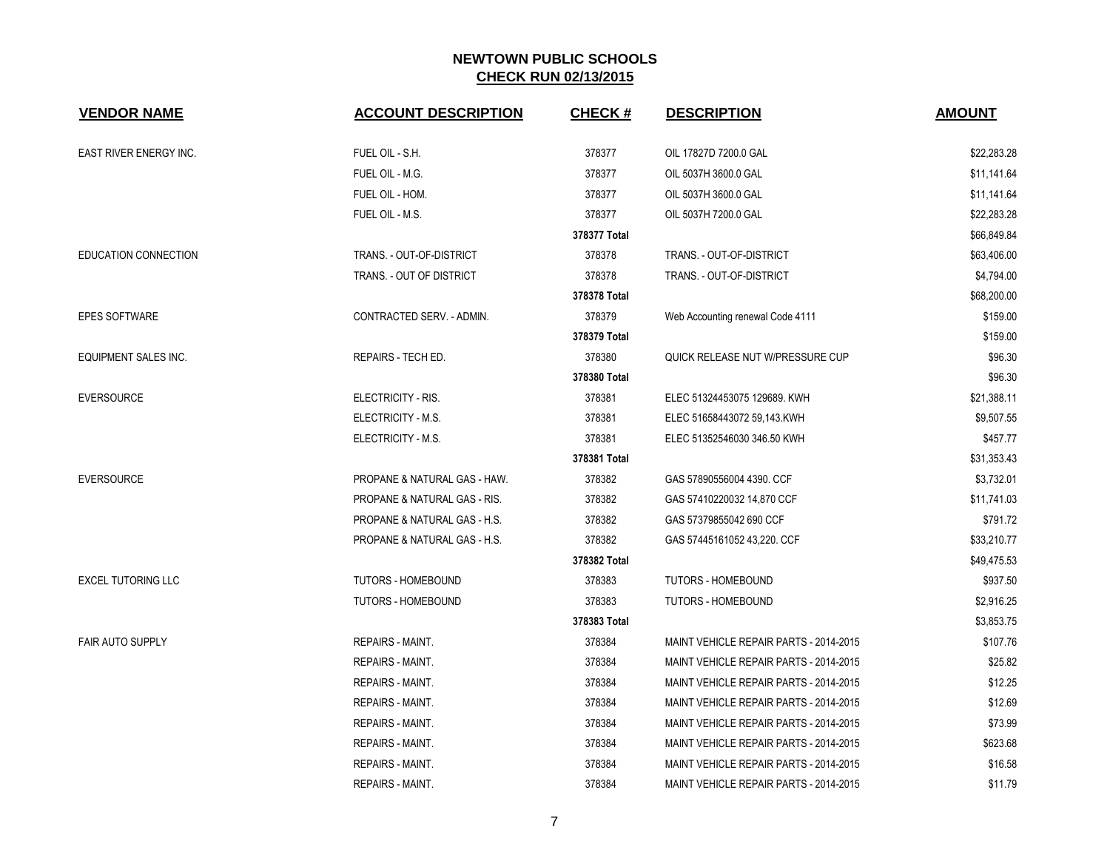| <b>VENDOR NAME</b>        | <b>ACCOUNT DESCRIPTION</b>              | <b>CHECK#</b> | <b>DESCRIPTION</b>                     | <b>AMOUNT</b> |
|---------------------------|-----------------------------------------|---------------|----------------------------------------|---------------|
| EAST RIVER ENERGY INC.    | FUEL OIL - S.H.                         | 378377        | OIL 17827D 7200.0 GAL                  | \$22,283.28   |
|                           | FUEL OIL - M.G.                         | 378377        | OIL 5037H 3600.0 GAL                   | \$11,141.64   |
|                           | FUEL OIL - HOM.                         | 378377        | OIL 5037H 3600.0 GAL                   | \$11,141.64   |
|                           | FUEL OIL - M.S.                         | 378377        | OIL 5037H 7200.0 GAL                   | \$22,283.28   |
|                           |                                         | 378377 Total  |                                        | \$66,849.84   |
| EDUCATION CONNECTION      | TRANS. - OUT-OF-DISTRICT                | 378378        | TRANS. - OUT-OF-DISTRICT               | \$63,406.00   |
|                           | TRANS. - OUT OF DISTRICT                | 378378        | TRANS. - OUT-OF-DISTRICT               | \$4,794.00    |
|                           |                                         | 378378 Total  |                                        | \$68,200.00   |
| <b>EPES SOFTWARE</b>      | CONTRACTED SERV. - ADMIN.               | 378379        | Web Accounting renewal Code 4111       | \$159.00      |
|                           |                                         | 378379 Total  |                                        | \$159.00      |
| EQUIPMENT SALES INC.      | REPAIRS - TECH ED.                      | 378380        | QUICK RELEASE NUT W/PRESSURE CUP       | \$96.30       |
|                           |                                         | 378380 Total  |                                        | \$96.30       |
| <b>EVERSOURCE</b>         | ELECTRICITY - RIS.                      | 378381        | ELEC 51324453075 129689. KWH           | \$21,388.11   |
|                           | ELECTRICITY - M.S.                      | 378381        | ELEC 51658443072 59,143.KWH            | \$9,507.55    |
|                           | ELECTRICITY - M.S.                      | 378381        | ELEC 51352546030 346.50 KWH            | \$457.77      |
|                           |                                         | 378381 Total  |                                        | \$31,353.43   |
| <b>EVERSOURCE</b>         | PROPANE & NATURAL GAS - HAW.            | 378382        | GAS 57890556004 4390. CCF              | \$3,732.01    |
|                           | <b>PROPANE &amp; NATURAL GAS - RIS.</b> | 378382        | GAS 57410220032 14,870 CCF             | \$11,741.03   |
|                           | PROPANE & NATURAL GAS - H.S.            | 378382        | GAS 57379855042 690 CCF                | \$791.72      |
|                           | PROPANE & NATURAL GAS - H.S.            | 378382        | GAS 57445161052 43,220. CCF            | \$33,210.77   |
|                           |                                         | 378382 Total  |                                        | \$49,475.53   |
| <b>EXCEL TUTORING LLC</b> | <b>TUTORS - HOMEBOUND</b>               | 378383        | TUTORS - HOMEBOUND                     | \$937.50      |
|                           | <b>TUTORS - HOMEBOUND</b>               | 378383        | <b>TUTORS - HOMEBOUND</b>              | \$2,916.25    |
|                           |                                         | 378383 Total  |                                        | \$3,853.75    |
| <b>FAIR AUTO SUPPLY</b>   | <b>REPAIRS - MAINT.</b>                 | 378384        | MAINT VEHICLE REPAIR PARTS - 2014-2015 | \$107.76      |
|                           | <b>REPAIRS - MAINT.</b>                 | 378384        | MAINT VEHICLE REPAIR PARTS - 2014-2015 | \$25.82       |
|                           | <b>REPAIRS - MAINT.</b>                 | 378384        | MAINT VEHICLE REPAIR PARTS - 2014-2015 | \$12.25       |
|                           | <b>REPAIRS - MAINT.</b>                 | 378384        | MAINT VEHICLE REPAIR PARTS - 2014-2015 | \$12.69       |
|                           | REPAIRS - MAINT.                        | 378384        | MAINT VEHICLE REPAIR PARTS - 2014-2015 | \$73.99       |
|                           | REPAIRS - MAINT.                        | 378384        | MAINT VEHICLE REPAIR PARTS - 2014-2015 | \$623.68      |
|                           | <b>REPAIRS - MAINT.</b>                 | 378384        | MAINT VEHICLE REPAIR PARTS - 2014-2015 | \$16.58       |
|                           | <b>REPAIRS - MAINT.</b>                 | 378384        | MAINT VEHICLE REPAIR PARTS - 2014-2015 | \$11.79       |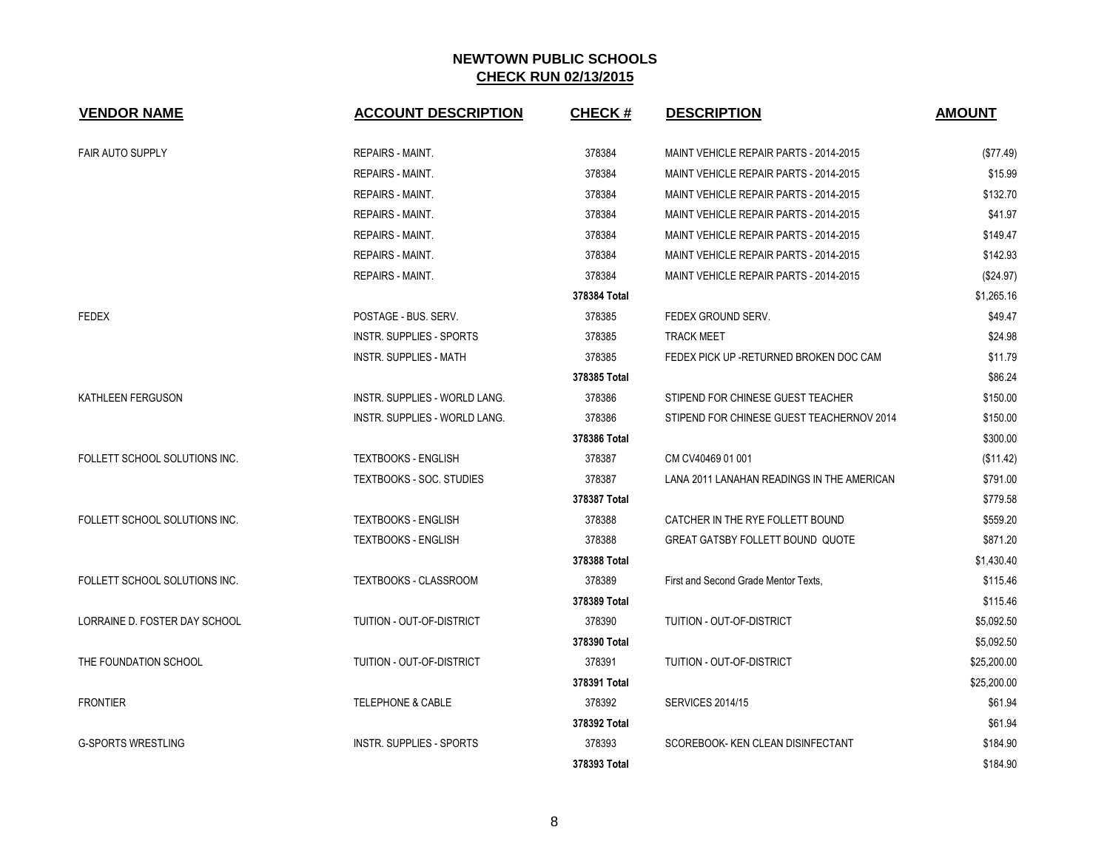| <b>VENDOR NAME</b>            | <b>ACCOUNT DESCRIPTION</b>           | <b>CHECK#</b> | <b>DESCRIPTION</b>                         | <b>AMOUNT</b> |
|-------------------------------|--------------------------------------|---------------|--------------------------------------------|---------------|
| <b>FAIR AUTO SUPPLY</b>       | REPAIRS - MAINT.                     | 378384        | MAINT VEHICLE REPAIR PARTS - 2014-2015     | (\$77.49)     |
|                               | REPAIRS - MAINT.                     | 378384        | MAINT VEHICLE REPAIR PARTS - 2014-2015     | \$15.99       |
|                               | REPAIRS - MAINT.                     | 378384        | MAINT VEHICLE REPAIR PARTS - 2014-2015     | \$132.70      |
|                               | <b>REPAIRS - MAINT.</b>              | 378384        | MAINT VEHICLE REPAIR PARTS - 2014-2015     | \$41.97       |
|                               | <b>REPAIRS - MAINT.</b>              | 378384        | MAINT VEHICLE REPAIR PARTS - 2014-2015     | \$149.47      |
|                               | REPAIRS - MAINT.                     | 378384        | MAINT VEHICLE REPAIR PARTS - 2014-2015     | \$142.93      |
|                               | REPAIRS - MAINT.                     | 378384        | MAINT VEHICLE REPAIR PARTS - 2014-2015     | (\$24.97)     |
|                               |                                      | 378384 Total  |                                            | \$1,265.16    |
| <b>FEDEX</b>                  | POSTAGE - BUS. SERV.                 | 378385        | FEDEX GROUND SERV.                         | \$49.47       |
|                               | <b>INSTR. SUPPLIES - SPORTS</b>      | 378385        | <b>TRACK MEET</b>                          | \$24.98       |
|                               | <b>INSTR. SUPPLIES - MATH</b>        | 378385        | FEDEX PICK UP - RETURNED BROKEN DOC CAM    | \$11.79       |
|                               |                                      | 378385 Total  |                                            | \$86.24       |
| KATHLEEN FERGUSON             | INSTR. SUPPLIES - WORLD LANG.        | 378386        | STIPEND FOR CHINESE GUEST TEACHER          | \$150.00      |
|                               | <b>INSTR. SUPPLIES - WORLD LANG.</b> | 378386        | STIPEND FOR CHINESE GUEST TEACHERNOV 2014  | \$150.00      |
|                               |                                      | 378386 Total  |                                            | \$300.00      |
| FOLLETT SCHOOL SOLUTIONS INC. | <b>TEXTBOOKS - ENGLISH</b>           | 378387        | CM CV40469 01 001                          | (\$11.42)     |
|                               | TEXTBOOKS - SOC. STUDIES             | 378387        | LANA 2011 LANAHAN READINGS IN THE AMERICAN | \$791.00      |
|                               |                                      | 378387 Total  |                                            | \$779.58      |
| FOLLETT SCHOOL SOLUTIONS INC. | <b>TEXTBOOKS - ENGLISH</b>           | 378388        | CATCHER IN THE RYE FOLLETT BOUND           | \$559.20      |
|                               | <b>TEXTBOOKS - ENGLISH</b>           | 378388        | <b>GREAT GATSBY FOLLETT BOUND QUOTE</b>    | \$871.20      |
|                               |                                      | 378388 Total  |                                            | \$1,430.40    |
| FOLLETT SCHOOL SOLUTIONS INC. | <b>TEXTBOOKS - CLASSROOM</b>         | 378389        | First and Second Grade Mentor Texts,       | \$115.46      |
|                               |                                      | 378389 Total  |                                            | \$115.46      |
| LORRAINE D. FOSTER DAY SCHOOL | TUITION - OUT-OF-DISTRICT            | 378390        | TUITION - OUT-OF-DISTRICT                  | \$5,092.50    |
|                               |                                      | 378390 Total  |                                            | \$5,092.50    |
| THE FOUNDATION SCHOOL         | TUITION - OUT-OF-DISTRICT            | 378391        | TUITION - OUT-OF-DISTRICT                  | \$25,200.00   |
|                               |                                      | 378391 Total  |                                            | \$25,200.00   |
| <b>FRONTIER</b>               | <b>TELEPHONE &amp; CABLE</b>         | 378392        | <b>SERVICES 2014/15</b>                    | \$61.94       |
|                               |                                      | 378392 Total  |                                            | \$61.94       |
| <b>G-SPORTS WRESTLING</b>     | <b>INSTR. SUPPLIES - SPORTS</b>      | 378393        | SCOREBOOK- KEN CLEAN DISINFECTANT          | \$184.90      |
|                               |                                      | 378393 Total  |                                            | \$184.90      |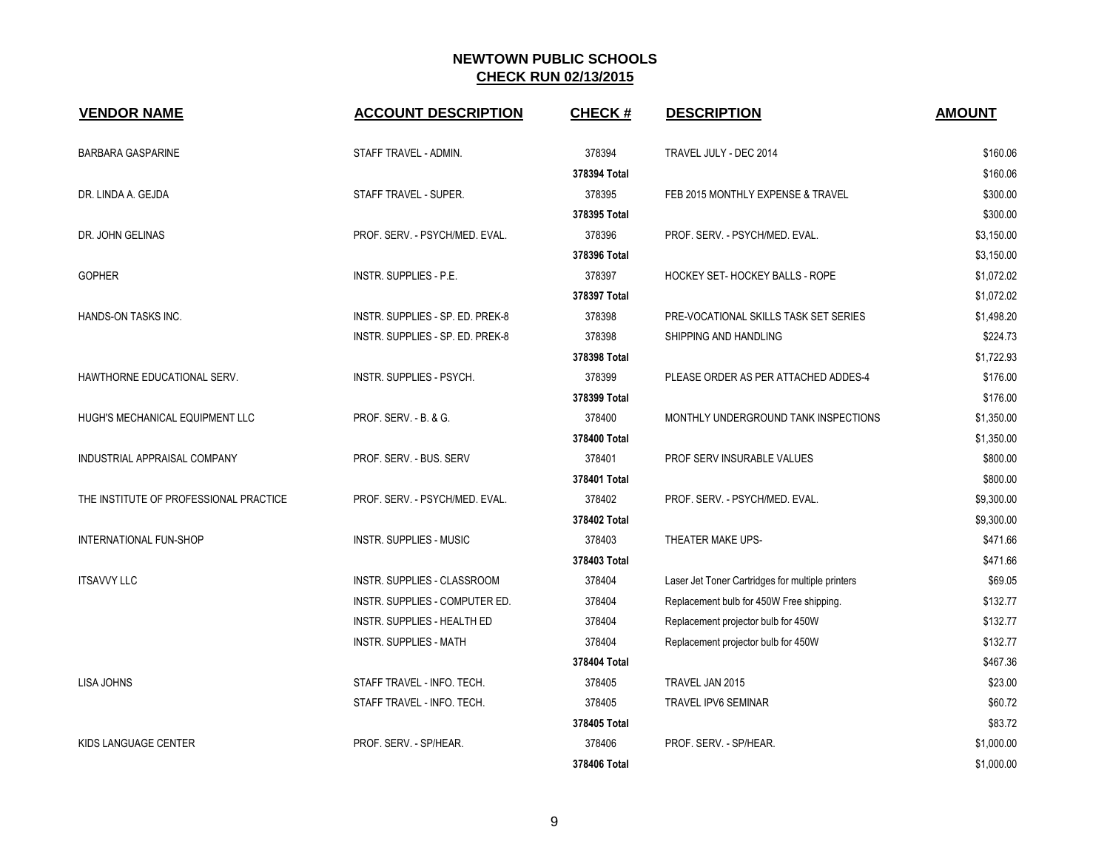| <b>VENDOR NAME</b>                     | <b>ACCOUNT DESCRIPTION</b>         | <b>CHECK#</b> | <b>DESCRIPTION</b>                               | <b>AMOUNT</b> |
|----------------------------------------|------------------------------------|---------------|--------------------------------------------------|---------------|
| <b>BARBARA GASPARINE</b>               | STAFF TRAVEL - ADMIN.              | 378394        | TRAVEL JULY - DEC 2014                           | \$160.06      |
|                                        |                                    | 378394 Total  |                                                  | \$160.06      |
| DR. LINDA A. GEJDA                     | STAFF TRAVEL - SUPER.              | 378395        | FEB 2015 MONTHLY EXPENSE & TRAVEL                | \$300.00      |
|                                        |                                    | 378395 Total  |                                                  | \$300.00      |
| DR. JOHN GELINAS                       | PROF. SERV. - PSYCH/MED. EVAL.     | 378396        | PROF. SERV. - PSYCH/MED. EVAL.                   | \$3,150.00    |
|                                        |                                    | 378396 Total  |                                                  | \$3,150.00    |
| <b>GOPHER</b>                          | INSTR. SUPPLIES - P.E.             | 378397        | HOCKEY SET- HOCKEY BALLS - ROPE                  | \$1,072.02    |
|                                        |                                    | 378397 Total  |                                                  | \$1,072.02    |
| HANDS-ON TASKS INC.                    | INSTR. SUPPLIES - SP. ED. PREK-8   | 378398        | PRE-VOCATIONAL SKILLS TASK SET SERIES            | \$1,498.20    |
|                                        | INSTR. SUPPLIES - SP. ED. PREK-8   | 378398        | SHIPPING AND HANDLING                            | \$224.73      |
|                                        |                                    | 378398 Total  |                                                  | \$1,722.93    |
| HAWTHORNE EDUCATIONAL SERV.            | <b>INSTR. SUPPLIES - PSYCH.</b>    | 378399        | PLEASE ORDER AS PER ATTACHED ADDES-4             | \$176.00      |
|                                        |                                    | 378399 Total  |                                                  | \$176.00      |
| HUGH'S MECHANICAL EQUIPMENT LLC        | PROF. SERV. - B. & G.              | 378400        | MONTHLY UNDERGROUND TANK INSPECTIONS             | \$1,350.00    |
|                                        |                                    | 378400 Total  |                                                  | \$1,350.00    |
| INDUSTRIAL APPRAISAL COMPANY           | PROF. SERV. - BUS. SERV            | 378401        | PROF SERV INSURABLE VALUES                       | \$800.00      |
|                                        |                                    | 378401 Total  |                                                  | \$800.00      |
| THE INSTITUTE OF PROFESSIONAL PRACTICE | PROF. SERV. - PSYCH/MED. EVAL.     | 378402        | PROF. SERV. - PSYCH/MED. EVAL.                   | \$9,300.00    |
|                                        |                                    | 378402 Total  |                                                  | \$9,300.00    |
| INTERNATIONAL FUN-SHOP                 | <b>INSTR. SUPPLIES - MUSIC</b>     | 378403        | THEATER MAKE UPS-                                | \$471.66      |
|                                        |                                    | 378403 Total  |                                                  | \$471.66      |
| <b>ITSAVVY LLC</b>                     | <b>INSTR. SUPPLIES - CLASSROOM</b> | 378404        | Laser Jet Toner Cartridges for multiple printers | \$69.05       |
|                                        | INSTR. SUPPLIES - COMPUTER ED.     | 378404        | Replacement bulb for 450W Free shipping.         | \$132.77      |
|                                        | INSTR. SUPPLIES - HEALTH ED        | 378404        | Replacement projector bulb for 450W              | \$132.77      |
|                                        | <b>INSTR. SUPPLIES - MATH</b>      | 378404        | Replacement projector bulb for 450W              | \$132.77      |
|                                        |                                    | 378404 Total  |                                                  | \$467.36      |
| <b>LISA JOHNS</b>                      | STAFF TRAVEL - INFO. TECH.         | 378405        | TRAVEL JAN 2015                                  | \$23.00       |
|                                        | STAFF TRAVEL - INFO. TECH.         | 378405        | TRAVEL IPV6 SEMINAR                              | \$60.72       |
|                                        |                                    | 378405 Total  |                                                  | \$83.72       |
| KIDS LANGUAGE CENTER                   | PROF. SERV. - SP/HEAR.             | 378406        | PROF. SERV. - SP/HEAR.                           | \$1,000.00    |
|                                        |                                    | 378406 Total  |                                                  | \$1,000.00    |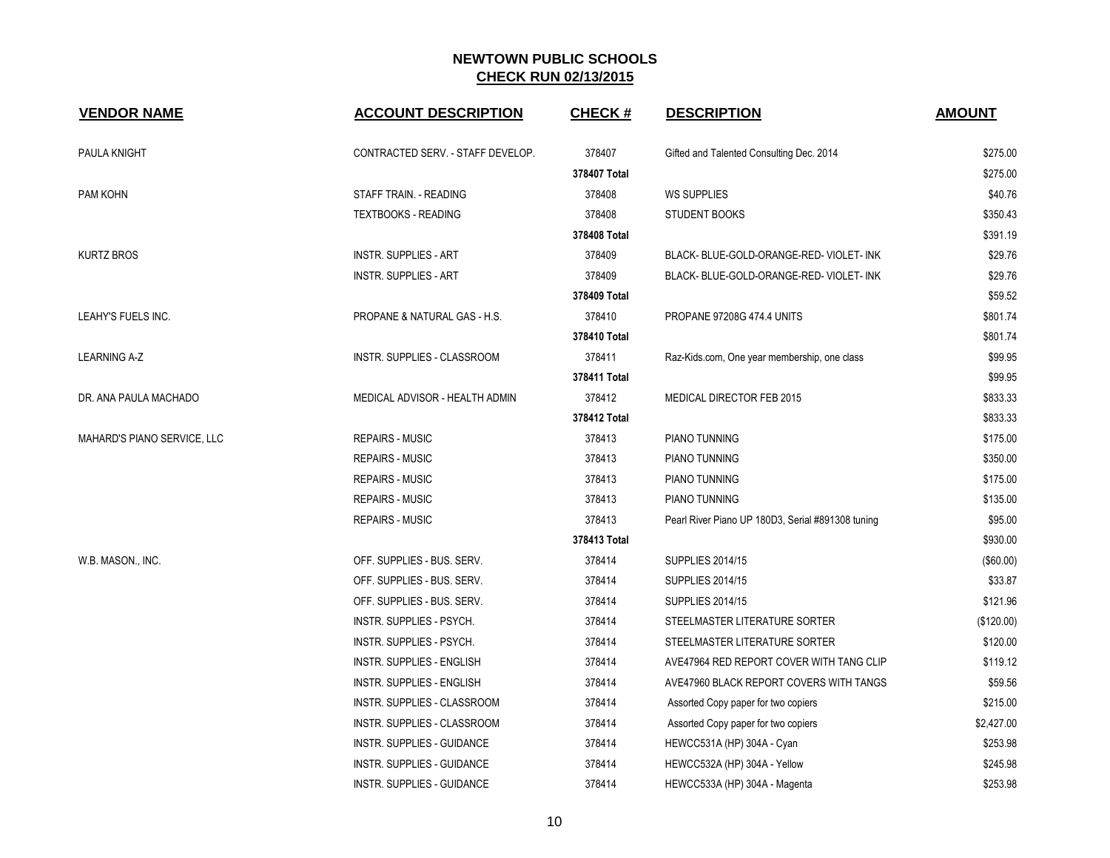| <b>VENDOR NAME</b>          | <b>ACCOUNT DESCRIPTION</b>        | <b>CHECK#</b> | <b>DESCRIPTION</b>                                | <b>AMOUNT</b> |
|-----------------------------|-----------------------------------|---------------|---------------------------------------------------|---------------|
| PAULA KNIGHT                | CONTRACTED SERV. - STAFF DEVELOP. | 378407        | Gifted and Talented Consulting Dec. 2014          | \$275.00      |
|                             |                                   | 378407 Total  |                                                   | \$275.00      |
| PAM KOHN                    | STAFF TRAIN. - READING            | 378408        | <b>WS SUPPLIES</b>                                | \$40.76       |
|                             | <b>TEXTBOOKS - READING</b>        | 378408        | <b>STUDENT BOOKS</b>                              | \$350.43      |
|                             |                                   | 378408 Total  |                                                   | \$391.19      |
| <b>KURTZ BROS</b>           | <b>INSTR. SUPPLIES - ART</b>      | 378409        | BLACK- BLUE-GOLD-ORANGE-RED- VIOLET- INK          | \$29.76       |
|                             | <b>INSTR. SUPPLIES - ART</b>      | 378409        | BLACK- BLUE-GOLD-ORANGE-RED- VIOLET- INK          | \$29.76       |
|                             |                                   | 378409 Total  |                                                   | \$59.52       |
| LEAHY'S FUELS INC.          | PROPANE & NATURAL GAS - H.S.      | 378410        | <b>PROPANE 97208G 474.4 UNITS</b>                 | \$801.74      |
|                             |                                   | 378410 Total  |                                                   | \$801.74      |
| <b>LEARNING A-Z</b>         | INSTR. SUPPLIES - CLASSROOM       | 378411        | Raz-Kids.com, One year membership, one class      | \$99.95       |
|                             |                                   | 378411 Total  |                                                   | \$99.95       |
| DR. ANA PAULA MACHADO       | MEDICAL ADVISOR - HEALTH ADMIN    | 378412        | <b>MEDICAL DIRECTOR FEB 2015</b>                  | \$833.33      |
|                             |                                   | 378412 Total  |                                                   | \$833.33      |
| MAHARD'S PIANO SERVICE, LLC | <b>REPAIRS - MUSIC</b>            | 378413        | PIANO TUNNING                                     | \$175.00      |
|                             | <b>REPAIRS - MUSIC</b>            | 378413        | PIANO TUNNING                                     | \$350.00      |
|                             | <b>REPAIRS - MUSIC</b>            | 378413        | PIANO TUNNING                                     | \$175.00      |
|                             | <b>REPAIRS - MUSIC</b>            | 378413        | <b>PIANO TUNNING</b>                              | \$135.00      |
|                             | <b>REPAIRS - MUSIC</b>            | 378413        | Pearl River Piano UP 180D3, Serial #891308 tuning | \$95.00       |
|                             |                                   | 378413 Total  |                                                   | \$930.00      |
| W.B. MASON., INC.           | OFF. SUPPLIES - BUS. SERV.        | 378414        | <b>SUPPLIES 2014/15</b>                           | (\$60.00)     |
|                             | OFF. SUPPLIES - BUS. SERV.        | 378414        | <b>SUPPLIES 2014/15</b>                           | \$33.87       |
|                             | OFF. SUPPLIES - BUS. SERV.        | 378414        | <b>SUPPLIES 2014/15</b>                           | \$121.96      |
|                             | INSTR. SUPPLIES - PSYCH.          | 378414        | STEELMASTER LITERATURE SORTER                     | (\$120.00)    |
|                             | <b>INSTR. SUPPLIES - PSYCH.</b>   | 378414        | STEELMASTER LITERATURE SORTER                     | \$120.00      |
|                             | <b>INSTR. SUPPLIES - ENGLISH</b>  | 378414        | AVE47964 RED REPORT COVER WITH TANG CLIP          | \$119.12      |
|                             | <b>INSTR. SUPPLIES - ENGLISH</b>  | 378414        | AVE47960 BLACK REPORT COVERS WITH TANGS           | \$59.56       |
|                             | INSTR. SUPPLIES - CLASSROOM       | 378414        | Assorted Copy paper for two copiers               | \$215.00      |
|                             | INSTR. SUPPLIES - CLASSROOM       | 378414        | Assorted Copy paper for two copiers               | \$2,427.00    |
|                             | INSTR. SUPPLIES - GUIDANCE        | 378414        | HEWCC531A (HP) 304A - Cyan                        | \$253.98      |
|                             | <b>INSTR. SUPPLIES - GUIDANCE</b> | 378414        | HEWCC532A (HP) 304A - Yellow                      | \$245.98      |
|                             | INSTR. SUPPLIES - GUIDANCE        | 378414        | HEWCC533A (HP) 304A - Magenta                     | \$253.98      |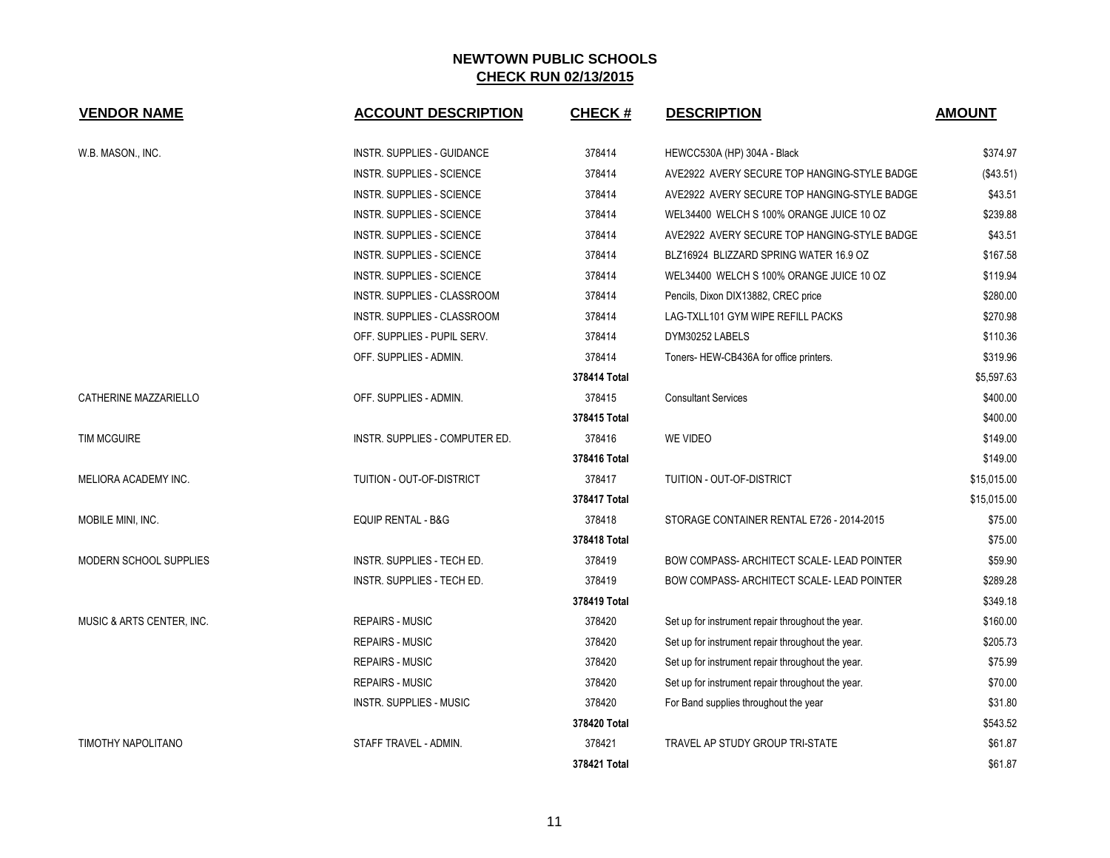| <b>VENDOR NAME</b>        | <b>ACCOUNT DESCRIPTION</b>       | <b>CHECK#</b> | <b>DESCRIPTION</b>                                | <b>AMOUNT</b> |
|---------------------------|----------------------------------|---------------|---------------------------------------------------|---------------|
| W.B. MASON., INC.         | INSTR. SUPPLIES - GUIDANCE       | 378414        | HEWCC530A (HP) 304A - Black                       | \$374.97      |
|                           | <b>INSTR. SUPPLIES - SCIENCE</b> | 378414        | AVE2922 AVERY SECURE TOP HANGING-STYLE BADGE      | (\$43.51)     |
|                           | <b>INSTR. SUPPLIES - SCIENCE</b> | 378414        | AVE2922 AVERY SECURE TOP HANGING-STYLE BADGE      | \$43.51       |
|                           | <b>INSTR. SUPPLIES - SCIENCE</b> | 378414        | WEL34400 WELCH S 100% ORANGE JUICE 10 OZ          | \$239.88      |
|                           | <b>INSTR. SUPPLIES - SCIENCE</b> | 378414        | AVE2922 AVERY SECURE TOP HANGING-STYLE BADGE      | \$43.51       |
|                           | <b>INSTR. SUPPLIES - SCIENCE</b> | 378414        | BLZ16924 BLIZZARD SPRING WATER 16.9 OZ            | \$167.58      |
|                           | <b>INSTR. SUPPLIES - SCIENCE</b> | 378414        | WEL34400 WELCH S 100% ORANGE JUICE 10 OZ          | \$119.94      |
|                           | INSTR. SUPPLIES - CLASSROOM      | 378414        | Pencils, Dixon DIX13882, CREC price               | \$280.00      |
|                           | INSTR. SUPPLIES - CLASSROOM      | 378414        | LAG-TXLL101 GYM WIPE REFILL PACKS                 | \$270.98      |
|                           | OFF. SUPPLIES - PUPIL SERV.      | 378414        | DYM30252 LABELS                                   | \$110.36      |
|                           | OFF. SUPPLIES - ADMIN.           | 378414        | Toners-HEW-CB436A for office printers.            | \$319.96      |
|                           |                                  | 378414 Total  |                                                   | \$5,597.63    |
| CATHERINE MAZZARIELLO     | OFF. SUPPLIES - ADMIN.           | 378415        | <b>Consultant Services</b>                        | \$400.00      |
|                           |                                  | 378415 Total  |                                                   | \$400.00      |
| <b>TIM MCGUIRE</b>        | INSTR. SUPPLIES - COMPUTER ED.   | 378416        | <b>WE VIDEO</b>                                   | \$149.00      |
|                           |                                  | 378416 Total  |                                                   | \$149.00      |
| MELIORA ACADEMY INC.      | TUITION - OUT-OF-DISTRICT        | 378417        | TUITION - OUT-OF-DISTRICT                         | \$15,015.00   |
|                           |                                  | 378417 Total  |                                                   | \$15,015.00   |
| MOBILE MINI, INC.         | <b>EQUIP RENTAL - B&amp;G</b>    | 378418        | STORAGE CONTAINER RENTAL E726 - 2014-2015         | \$75.00       |
|                           |                                  | 378418 Total  |                                                   | \$75.00       |
| MODERN SCHOOL SUPPLIES    | INSTR. SUPPLIES - TECH ED.       | 378419        | <b>BOW COMPASS- ARCHITECT SCALE- LEAD POINTER</b> | \$59.90       |
|                           | INSTR. SUPPLIES - TECH ED.       | 378419        | BOW COMPASS- ARCHITECT SCALE- LEAD POINTER        | \$289.28      |
|                           |                                  | 378419 Total  |                                                   | \$349.18      |
| MUSIC & ARTS CENTER, INC. | <b>REPAIRS - MUSIC</b>           | 378420        | Set up for instrument repair throughout the year. | \$160.00      |
|                           | <b>REPAIRS - MUSIC</b>           | 378420        | Set up for instrument repair throughout the year. | \$205.73      |
|                           | <b>REPAIRS - MUSIC</b>           | 378420        | Set up for instrument repair throughout the year. | \$75.99       |
|                           | <b>REPAIRS - MUSIC</b>           | 378420        | Set up for instrument repair throughout the year. | \$70.00       |
|                           | <b>INSTR. SUPPLIES - MUSIC</b>   | 378420        | For Band supplies throughout the year             | \$31.80       |
|                           |                                  | 378420 Total  |                                                   | \$543.52      |
| TIMOTHY NAPOLITANO        | STAFF TRAVEL - ADMIN.            | 378421        | <b>TRAVEL AP STUDY GROUP TRI-STATE</b>            | \$61.87       |
|                           |                                  | 378421 Total  |                                                   | \$61.87       |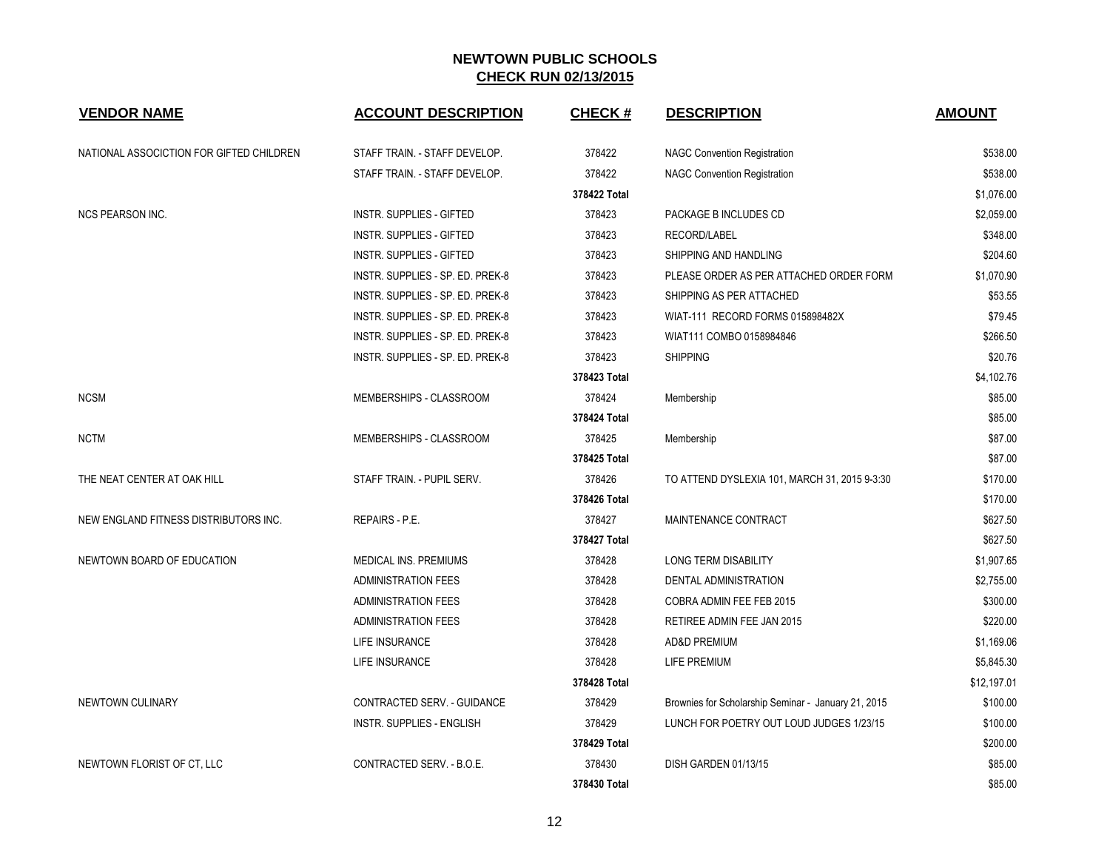| <b>VENDOR NAME</b>                       | <b>ACCOUNT DESCRIPTION</b>         | <b>CHECK#</b> | <b>DESCRIPTION</b>                                  | <b>AMOUNT</b> |
|------------------------------------------|------------------------------------|---------------|-----------------------------------------------------|---------------|
| NATIONAL ASSOCICTION FOR GIFTED CHILDREN | STAFF TRAIN. - STAFF DEVELOP.      | 378422        | <b>NAGC Convention Registration</b>                 | \$538.00      |
|                                          | STAFF TRAIN. - STAFF DEVELOP.      | 378422        | <b>NAGC Convention Registration</b>                 | \$538.00      |
|                                          |                                    | 378422 Total  |                                                     | \$1,076.00    |
| <b>NCS PEARSON INC.</b>                  | <b>INSTR. SUPPLIES - GIFTED</b>    | 378423        | PACKAGE B INCLUDES CD                               | \$2,059.00    |
|                                          | <b>INSTR. SUPPLIES - GIFTED</b>    | 378423        | RECORD/LABEL                                        | \$348.00      |
|                                          | <b>INSTR. SUPPLIES - GIFTED</b>    | 378423        | SHIPPING AND HANDLING                               | \$204.60      |
|                                          | INSTR. SUPPLIES - SP. ED. PREK-8   | 378423        | PLEASE ORDER AS PER ATTACHED ORDER FORM             | \$1,070.90    |
|                                          | INSTR. SUPPLIES - SP. ED. PREK-8   | 378423        | SHIPPING AS PER ATTACHED                            | \$53.55       |
|                                          | INSTR. SUPPLIES - SP. ED. PREK-8   | 378423        | WIAT-111 RECORD FORMS 015898482X                    | \$79.45       |
|                                          | INSTR. SUPPLIES - SP. ED. PREK-8   | 378423        | WIAT111 COMBO 0158984846                            | \$266.50      |
|                                          | INSTR. SUPPLIES - SP. ED. PREK-8   | 378423        | <b>SHIPPING</b>                                     | \$20.76       |
|                                          |                                    | 378423 Total  |                                                     | \$4,102.76    |
| <b>NCSM</b>                              | MEMBERSHIPS - CLASSROOM            | 378424        | Membership                                          | \$85.00       |
|                                          |                                    | 378424 Total  |                                                     | \$85.00       |
| <b>NCTM</b>                              | MEMBERSHIPS - CLASSROOM            | 378425        | Membership                                          | \$87.00       |
|                                          |                                    | 378425 Total  |                                                     | \$87.00       |
| THE NEAT CENTER AT OAK HILL              | STAFF TRAIN - PUPIL SERV.          | 378426        | TO ATTEND DYSLEXIA 101, MARCH 31, 2015 9-3:30       | \$170.00      |
|                                          |                                    | 378426 Total  |                                                     | \$170.00      |
| NEW ENGLAND FITNESS DISTRIBUTORS INC.    | REPAIRS - P.E.                     | 378427        | MAINTENANCE CONTRACT                                | \$627.50      |
|                                          |                                    | 378427 Total  |                                                     | \$627.50      |
| NEWTOWN BOARD OF EDUCATION               | MEDICAL INS. PREMIUMS              | 378428        | LONG TERM DISABILITY                                | \$1,907.65    |
|                                          | <b>ADMINISTRATION FEES</b>         | 378428        | DENTAL ADMINISTRATION                               | \$2,755.00    |
|                                          | ADMINISTRATION FEES                | 378428        | COBRA ADMIN FEE FEB 2015                            | \$300.00      |
|                                          | <b>ADMINISTRATION FEES</b>         | 378428        | RETIREE ADMIN FEE JAN 2015                          | \$220.00      |
|                                          | LIFE INSURANCE                     | 378428        | <b>AD&amp;D PREMIUM</b>                             | \$1,169.06    |
|                                          | LIFE INSURANCE                     | 378428        | <b>LIFE PREMIUM</b>                                 | \$5,845.30    |
|                                          |                                    | 378428 Total  |                                                     | \$12,197.01   |
| NEWTOWN CULINARY                         | <b>CONTRACTED SERV. - GUIDANCE</b> | 378429        | Brownies for Scholarship Seminar - January 21, 2015 | \$100.00      |
|                                          | <b>INSTR. SUPPLIES - ENGLISH</b>   | 378429        | LUNCH FOR POETRY OUT LOUD JUDGES 1/23/15            | \$100.00      |
|                                          |                                    | 378429 Total  |                                                     | \$200.00      |
| NEWTOWN FLORIST OF CT, LLC               | CONTRACTED SERV. - B.O.E.          | 378430        | DISH GARDEN 01/13/15                                | \$85.00       |
|                                          |                                    | 378430 Total  |                                                     | \$85.00       |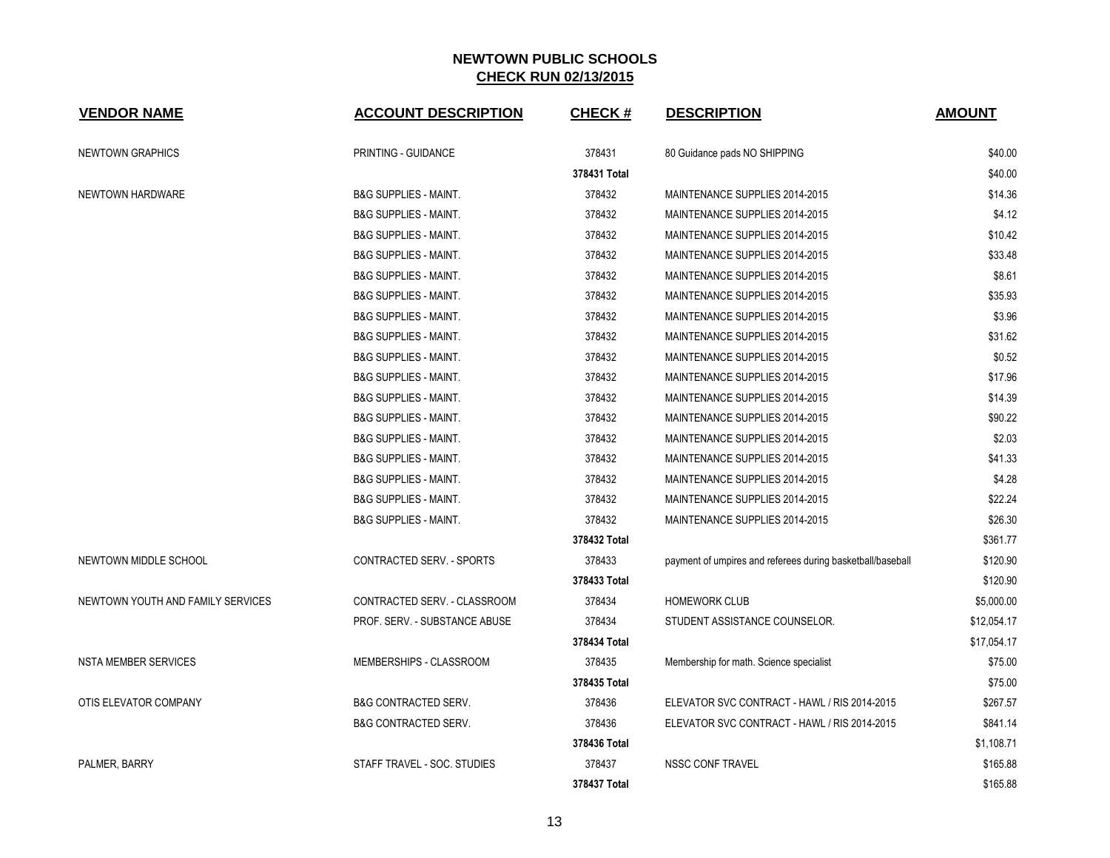| <b>VENDOR NAME</b>                | <b>ACCOUNT DESCRIPTION</b>       | <b>CHECK#</b> | <b>DESCRIPTION</b>                                         | <b>AMOUNT</b> |
|-----------------------------------|----------------------------------|---------------|------------------------------------------------------------|---------------|
| <b>NEWTOWN GRAPHICS</b>           | PRINTING - GUIDANCE              | 378431        | 80 Guidance pads NO SHIPPING                               | \$40.00       |
|                                   |                                  | 378431 Total  |                                                            | \$40.00       |
| NEWTOWN HARDWARE                  | <b>B&amp;G SUPPLIES - MAINT.</b> | 378432        | MAINTENANCE SUPPLIES 2014-2015                             | \$14.36       |
|                                   | <b>B&amp;G SUPPLIES - MAINT.</b> | 378432        | MAINTENANCE SUPPLIES 2014-2015                             | \$4.12        |
|                                   | <b>B&amp;G SUPPLIES - MAINT.</b> | 378432        | MAINTENANCE SUPPLIES 2014-2015                             | \$10.42       |
|                                   | <b>B&amp;G SUPPLIES - MAINT.</b> | 378432        | MAINTENANCE SUPPLIES 2014-2015                             | \$33.48       |
|                                   | <b>B&amp;G SUPPLIES - MAINT.</b> | 378432        | MAINTENANCE SUPPLIES 2014-2015                             | \$8.61        |
|                                   | <b>B&amp;G SUPPLIES - MAINT.</b> | 378432        | MAINTENANCE SUPPLIES 2014-2015                             | \$35.93       |
|                                   | <b>B&amp;G SUPPLIES - MAINT.</b> | 378432        | MAINTENANCE SUPPLIES 2014-2015                             | \$3.96        |
|                                   | <b>B&amp;G SUPPLIES - MAINT.</b> | 378432        | MAINTENANCE SUPPLIES 2014-2015                             | \$31.62       |
|                                   | <b>B&amp;G SUPPLIES - MAINT.</b> | 378432        | MAINTENANCE SUPPLIES 2014-2015                             | \$0.52        |
|                                   | <b>B&amp;G SUPPLIES - MAINT.</b> | 378432        | MAINTENANCE SUPPLIES 2014-2015                             | \$17.96       |
|                                   | <b>B&amp;G SUPPLIES - MAINT.</b> | 378432        | MAINTENANCE SUPPLIES 2014-2015                             | \$14.39       |
|                                   | <b>B&amp;G SUPPLIES - MAINT.</b> | 378432        | MAINTENANCE SUPPLIES 2014-2015                             | \$90.22       |
|                                   | <b>B&amp;G SUPPLIES - MAINT.</b> | 378432        | MAINTENANCE SUPPLIES 2014-2015                             | \$2.03        |
|                                   | <b>B&amp;G SUPPLIES - MAINT.</b> | 378432        | MAINTENANCE SUPPLIES 2014-2015                             | \$41.33       |
|                                   | <b>B&amp;G SUPPLIES - MAINT.</b> | 378432        | MAINTENANCE SUPPLIES 2014-2015                             | \$4.28        |
|                                   | <b>B&amp;G SUPPLIES - MAINT.</b> | 378432        | MAINTENANCE SUPPLIES 2014-2015                             | \$22.24       |
|                                   | <b>B&amp;G SUPPLIES - MAINT.</b> | 378432        | MAINTENANCE SUPPLIES 2014-2015                             | \$26.30       |
|                                   |                                  | 378432 Total  |                                                            | \$361.77      |
| NEWTOWN MIDDLE SCHOOL             | CONTRACTED SERV. - SPORTS        | 378433        | payment of umpires and referees during basketball/baseball | \$120.90      |
|                                   |                                  | 378433 Total  |                                                            | \$120.90      |
| NEWTOWN YOUTH AND FAMILY SERVICES | CONTRACTED SERV. - CLASSROOM     | 378434        | <b>HOMEWORK CLUB</b>                                       | \$5,000.00    |
|                                   | PROF. SERV. - SUBSTANCE ABUSE    | 378434        | STUDENT ASSISTANCE COUNSELOR.                              | \$12,054.17   |
|                                   |                                  | 378434 Total  |                                                            | \$17,054.17   |
| <b>NSTA MEMBER SERVICES</b>       | MEMBERSHIPS - CLASSROOM          | 378435        | Membership for math. Science specialist                    | \$75.00       |
|                                   |                                  | 378435 Total  |                                                            | \$75.00       |
| OTIS ELEVATOR COMPANY             | <b>B&amp;G CONTRACTED SERV.</b>  | 378436        | ELEVATOR SVC CONTRACT - HAWL / RIS 2014-2015               | \$267.57      |
|                                   | <b>B&amp;G CONTRACTED SERV.</b>  | 378436        | ELEVATOR SVC CONTRACT - HAWL / RIS 2014-2015               | \$841.14      |
|                                   |                                  | 378436 Total  |                                                            | \$1,108.71    |
| PALMER, BARRY                     | STAFF TRAVEL - SOC. STUDIES      | 378437        | <b>NSSC CONF TRAVEL</b>                                    | \$165.88      |
|                                   |                                  | 378437 Total  |                                                            | \$165.88      |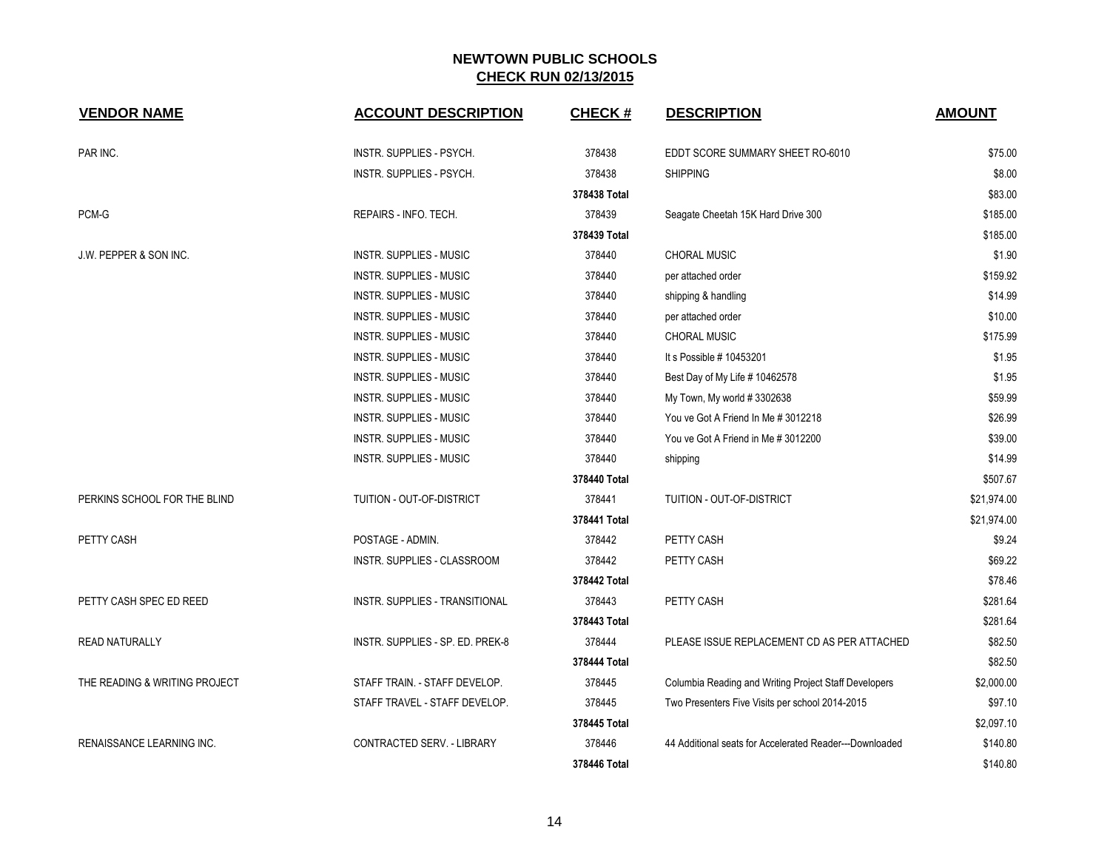| <b>VENDOR NAME</b>               | <b>ACCOUNT DESCRIPTION</b>       | <b>CHECK#</b> | <b>DESCRIPTION</b>                                      | <b>AMOUNT</b> |
|----------------------------------|----------------------------------|---------------|---------------------------------------------------------|---------------|
| PAR INC.                         | INSTR. SUPPLIES - PSYCH.         | 378438        | EDDT SCORE SUMMARY SHEET RO-6010                        | \$75.00       |
|                                  | INSTR. SUPPLIES - PSYCH.         | 378438        | <b>SHIPPING</b>                                         | \$8.00        |
|                                  |                                  | 378438 Total  |                                                         | \$83.00       |
| PCM-G                            | REPAIRS - INFO. TECH.            | 378439        | Seagate Cheetah 15K Hard Drive 300                      | \$185.00      |
|                                  |                                  | 378439 Total  |                                                         | \$185.00      |
| J.W. PEPPER & SON INC.           | INSTR. SUPPLIES - MUSIC          | 378440        | <b>CHORAL MUSIC</b>                                     | \$1.90        |
|                                  | <b>INSTR. SUPPLIES - MUSIC</b>   | 378440        | per attached order                                      | \$159.92      |
|                                  | <b>INSTR. SUPPLIES - MUSIC</b>   | 378440        | shipping & handling                                     | \$14.99       |
|                                  | <b>INSTR. SUPPLIES - MUSIC</b>   | 378440        | per attached order                                      | \$10.00       |
|                                  | <b>INSTR. SUPPLIES - MUSIC</b>   | 378440        | CHORAL MUSIC                                            | \$175.99      |
|                                  | INSTR. SUPPLIES - MUSIC          | 378440        | It s Possible # 10453201                                | \$1.95        |
|                                  | <b>INSTR. SUPPLIES - MUSIC</b>   | 378440        | Best Day of My Life # 10462578                          | \$1.95        |
|                                  | <b>INSTR. SUPPLIES - MUSIC</b>   | 378440        | My Town, My world #3302638                              | \$59.99       |
|                                  | <b>INSTR. SUPPLIES - MUSIC</b>   | 378440        | You ve Got A Friend In Me # 3012218                     | \$26.99       |
|                                  | <b>INSTR. SUPPLIES - MUSIC</b>   | 378440        | You ve Got A Friend in Me # 3012200                     | \$39.00       |
|                                  | INSTR. SUPPLIES - MUSIC          | 378440        | shipping                                                | \$14.99       |
|                                  |                                  | 378440 Total  |                                                         | \$507.67      |
| PERKINS SCHOOL FOR THE BLIND     | TUITION - OUT-OF-DISTRICT        | 378441        | TUITION - OUT-OF-DISTRICT                               | \$21,974.00   |
|                                  |                                  | 378441 Total  |                                                         | \$21,974.00   |
| PETTY CASH                       | POSTAGE - ADMIN.                 | 378442        | PETTY CASH                                              | \$9.24        |
|                                  | INSTR. SUPPLIES - CLASSROOM      | 378442        | PETTY CASH                                              | \$69.22       |
|                                  |                                  | 378442 Total  |                                                         | \$78.46       |
| PETTY CASH SPEC ED REED          | INSTR. SUPPLIES - TRANSITIONAL   | 378443        | PETTY CASH                                              | \$281.64      |
|                                  |                                  | 378443 Total  |                                                         | \$281.64      |
| <b>READ NATURALLY</b>            | INSTR. SUPPLIES - SP. ED. PREK-8 | 378444        | PLEASE ISSUE REPLACEMENT CD AS PER ATTACHED             | \$82.50       |
|                                  |                                  | 378444 Total  |                                                         | \$82.50       |
| THE READING & WRITING PROJECT    | STAFF TRAIN. - STAFF DEVELOP.    | 378445        | Columbia Reading and Writing Project Staff Developers   | \$2,000.00    |
|                                  | STAFF TRAVEL - STAFF DEVELOP.    | 378445        | Two Presenters Five Visits per school 2014-2015         | \$97.10       |
|                                  |                                  | 378445 Total  |                                                         | \$2,097.10    |
| <b>RENAISSANCE LEARNING INC.</b> | CONTRACTED SERV. - LIBRARY       | 378446        | 44 Additional seats for Accelerated Reader---Downloaded | \$140.80      |
|                                  |                                  | 378446 Total  |                                                         | \$140.80      |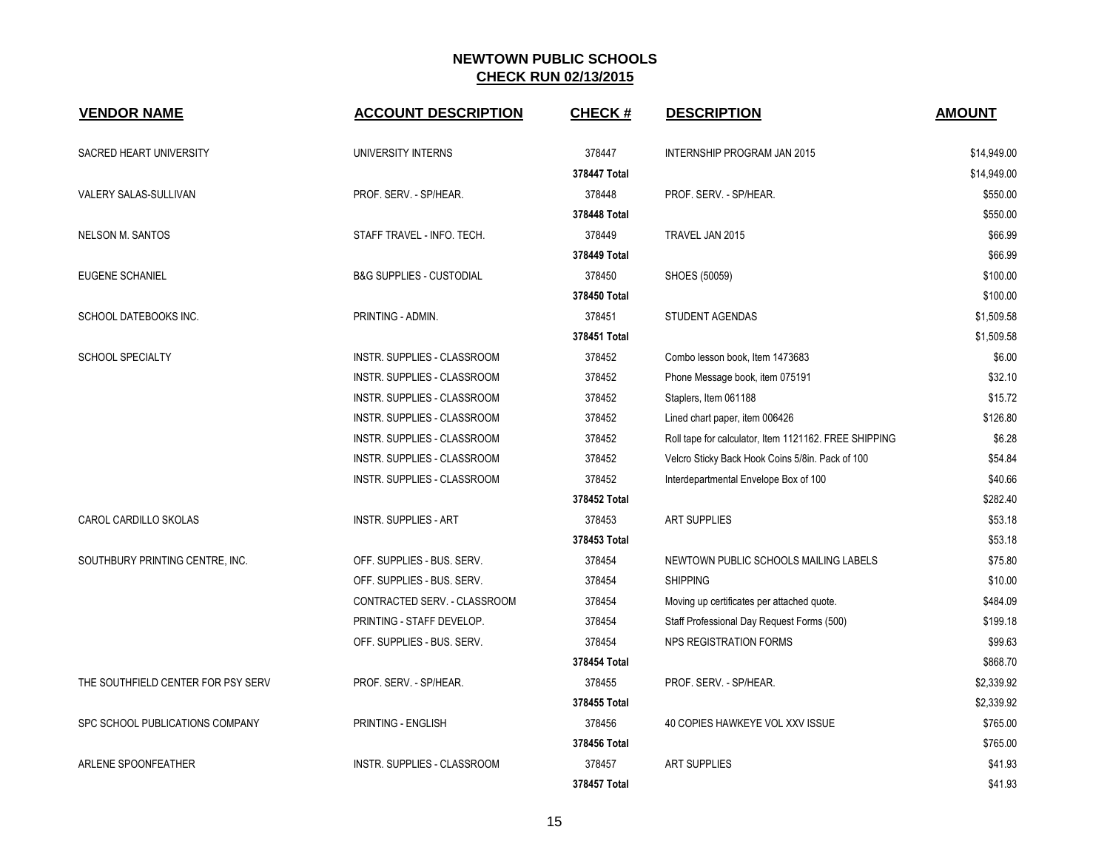| <b>VENDOR NAME</b>                 | <b>ACCOUNT DESCRIPTION</b>          | <b>CHECK#</b> | <b>DESCRIPTION</b>                                    | <b>AMOUNT</b> |
|------------------------------------|-------------------------------------|---------------|-------------------------------------------------------|---------------|
| <b>SACRED HEART UNIVERSITY</b>     | UNIVERSITY INTERNS                  | 378447        | <b>INTERNSHIP PROGRAM JAN 2015</b>                    | \$14,949.00   |
|                                    |                                     | 378447 Total  |                                                       | \$14,949.00   |
| VALERY SALAS-SULLIVAN              | PROF. SERV. - SP/HEAR.              | 378448        | PROF. SERV. - SP/HEAR.                                | \$550.00      |
|                                    |                                     | 378448 Total  |                                                       | \$550.00      |
| <b>NELSON M. SANTOS</b>            | STAFF TRAVEL - INFO. TECH.          | 378449        | TRAVEL JAN 2015                                       | \$66.99       |
|                                    |                                     | 378449 Total  |                                                       | \$66.99       |
| EUGENE SCHANIEL                    | <b>B&amp;G SUPPLIES - CUSTODIAL</b> | 378450        | SHOES (50059)                                         | \$100.00      |
|                                    |                                     | 378450 Total  |                                                       | \$100.00      |
| SCHOOL DATEBOOKS INC.              | PRINTING - ADMIN.                   | 378451        | STUDENT AGENDAS                                       | \$1,509.58    |
|                                    |                                     | 378451 Total  |                                                       | \$1,509.58    |
| <b>SCHOOL SPECIALTY</b>            | INSTR. SUPPLIES - CLASSROOM         | 378452        | Combo lesson book, Item 1473683                       | \$6.00        |
|                                    | INSTR. SUPPLIES - CLASSROOM         | 378452        | Phone Message book, item 075191                       | \$32.10       |
|                                    | INSTR. SUPPLIES - CLASSROOM         | 378452        | Staplers, Item 061188                                 | \$15.72       |
|                                    | INSTR. SUPPLIES - CLASSROOM         | 378452        | Lined chart paper, item 006426                        | \$126.80      |
|                                    | <b>INSTR. SUPPLIES - CLASSROOM</b>  | 378452        | Roll tape for calculator, Item 1121162. FREE SHIPPING | \$6.28        |
|                                    | <b>INSTR. SUPPLIES - CLASSROOM</b>  | 378452        | Velcro Sticky Back Hook Coins 5/8in. Pack of 100      | \$54.84       |
|                                    | INSTR. SUPPLIES - CLASSROOM         | 378452        | Interdepartmental Envelope Box of 100                 | \$40.66       |
|                                    |                                     | 378452 Total  |                                                       | \$282.40      |
| CAROL CARDILLO SKOLAS              | <b>INSTR. SUPPLIES - ART</b>        | 378453        | <b>ART SUPPLIES</b>                                   | \$53.18       |
|                                    |                                     | 378453 Total  |                                                       | \$53.18       |
| SOUTHBURY PRINTING CENTRE, INC.    | OFF. SUPPLIES - BUS. SERV.          | 378454        | NEWTOWN PUBLIC SCHOOLS MAILING LABELS                 | \$75.80       |
|                                    | OFF. SUPPLIES - BUS. SERV.          | 378454        | <b>SHIPPING</b>                                       | \$10.00       |
|                                    | CONTRACTED SERV. - CLASSROOM        | 378454        | Moving up certificates per attached quote.            | \$484.09      |
|                                    | PRINTING - STAFF DEVELOP.           | 378454        | Staff Professional Day Request Forms (500)            | \$199.18      |
|                                    | OFF. SUPPLIES - BUS. SERV.          | 378454        | <b>NPS REGISTRATION FORMS</b>                         | \$99.63       |
|                                    |                                     | 378454 Total  |                                                       | \$868.70      |
| THE SOUTHFIELD CENTER FOR PSY SERV | PROF. SERV. - SP/HEAR.              | 378455        | PROF. SERV. - SP/HEAR.                                | \$2,339.92    |
|                                    |                                     | 378455 Total  |                                                       | \$2,339.92    |
| SPC SCHOOL PUBLICATIONS COMPANY    | PRINTING - ENGLISH                  | 378456        | 40 COPIES HAWKEYE VOL XXV ISSUE                       | \$765.00      |
|                                    |                                     | 378456 Total  |                                                       | \$765.00      |
| ARLENE SPOONFEATHER                | <b>INSTR. SUPPLIES - CLASSROOM</b>  | 378457        | <b>ART SUPPLIES</b>                                   | \$41.93       |
|                                    |                                     | 378457 Total  |                                                       | \$41.93       |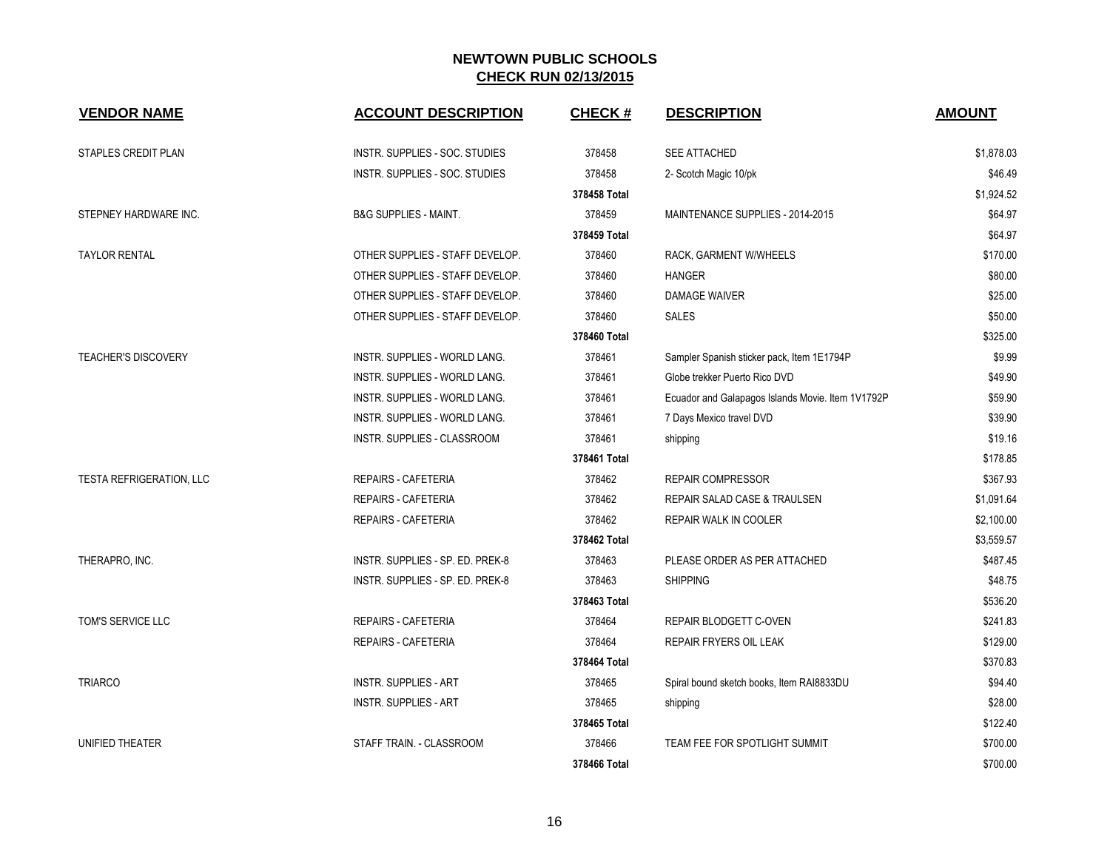| <b>VENDOR NAME</b>         | <b>ACCOUNT DESCRIPTION</b>           | <b>CHECK#</b> | <b>DESCRIPTION</b>                                | <b>AMOUNT</b> |
|----------------------------|--------------------------------------|---------------|---------------------------------------------------|---------------|
| <b>STAPLES CREDIT PLAN</b> | INSTR. SUPPLIES - SOC. STUDIES       | 378458        | SEE ATTACHED                                      | \$1,878.03    |
|                            | INSTR. SUPPLIES - SOC. STUDIES       | 378458        | 2- Scotch Magic 10/pk                             | \$46.49       |
|                            |                                      | 378458 Total  |                                                   | \$1,924.52    |
| STEPNEY HARDWARE INC.      | <b>B&amp;G SUPPLIES - MAINT.</b>     | 378459        | MAINTENANCE SUPPLIES - 2014-2015                  | \$64.97       |
|                            |                                      | 378459 Total  |                                                   | \$64.97       |
| <b>TAYLOR RENTAL</b>       | OTHER SUPPLIES - STAFF DEVELOP.      | 378460        | RACK, GARMENT W/WHEELS                            | \$170.00      |
|                            | OTHER SUPPLIES - STAFF DEVELOP.      | 378460        | <b>HANGER</b>                                     | \$80.00       |
|                            | OTHER SUPPLIES - STAFF DEVELOP.      | 378460        | <b>DAMAGE WAIVER</b>                              | \$25.00       |
|                            | OTHER SUPPLIES - STAFF DEVELOP.      | 378460        | <b>SALES</b>                                      | \$50.00       |
|                            |                                      | 378460 Total  |                                                   | \$325.00      |
| <b>TEACHER'S DISCOVERY</b> | <b>INSTR. SUPPLIES - WORLD LANG.</b> | 378461        | Sampler Spanish sticker pack, Item 1E1794P        | \$9.99        |
|                            | <b>INSTR. SUPPLIES - WORLD LANG.</b> | 378461        | Globe trekker Puerto Rico DVD                     | \$49.90       |
|                            | <b>INSTR. SUPPLIES - WORLD LANG.</b> | 378461        | Ecuador and Galapagos Islands Movie. Item 1V1792P | \$59.90       |
|                            | INSTR. SUPPLIES - WORLD LANG.        | 378461        | 7 Days Mexico travel DVD                          | \$39.90       |
|                            | INSTR. SUPPLIES - CLASSROOM          | 378461        | shipping                                          | \$19.16       |
|                            |                                      | 378461 Total  |                                                   | \$178.85      |
| TESTA REFRIGERATION, LLC   | REPAIRS - CAFETERIA                  | 378462        | <b>REPAIR COMPRESSOR</b>                          | \$367.93      |
|                            | <b>REPAIRS - CAFETERIA</b>           | 378462        | REPAIR SALAD CASE & TRAULSEN                      | \$1,091.64    |
|                            | REPAIRS - CAFETERIA                  | 378462        | REPAIR WALK IN COOLER                             | \$2,100.00    |
|                            |                                      | 378462 Total  |                                                   | \$3,559.57    |
| THERAPRO, INC.             | INSTR. SUPPLIES - SP. ED. PREK-8     | 378463        | PLEASE ORDER AS PER ATTACHED                      | \$487.45      |
|                            | INSTR. SUPPLIES - SP. ED. PREK-8     | 378463        | <b>SHIPPING</b>                                   | \$48.75       |
|                            |                                      | 378463 Total  |                                                   | \$536.20      |
| TOM'S SERVICE LLC          | REPAIRS - CAFETERIA                  | 378464        | REPAIR BLODGETT C-OVEN                            | \$241.83      |
|                            | <b>REPAIRS - CAFETERIA</b>           | 378464        | REPAIR FRYERS OIL LEAK                            | \$129.00      |
|                            |                                      | 378464 Total  |                                                   | \$370.83      |
| <b>TRIARCO</b>             | <b>INSTR. SUPPLIES - ART</b>         | 378465        | Spiral bound sketch books, Item RAI8833DU         | \$94.40       |
|                            | <b>INSTR. SUPPLIES - ART</b>         | 378465        | shipping                                          | \$28.00       |
|                            |                                      | 378465 Total  |                                                   | \$122.40      |
| UNIFIED THEATER            | STAFF TRAIN. - CLASSROOM             | 378466        | TEAM FEE FOR SPOTLIGHT SUMMIT                     | \$700.00      |
|                            |                                      | 378466 Total  |                                                   | \$700.00      |